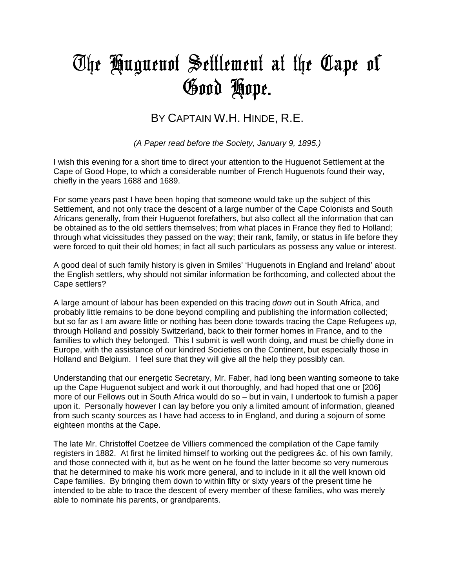# The Huguenot Settlement at the Cape of Good Hope**.**

## BY CAPTAIN W.H. HINDE, R.E.

*(A Paper read before the Society, January 9, 1895.)*

I wish this evening for a short time to direct your attention to the Huguenot Settlement at the Cape of Good Hope, to which a considerable number of French Huguenots found their way, chiefly in the years 1688 and 1689.

For some years past I have been hoping that someone would take up the subject of this Settlement, and not only trace the descent of a large number of the Cape Colonists and South Africans generally, from their Huguenot forefathers, but also collect all the information that can be obtained as to the old settlers themselves; from what places in France they fled to Holland; through what vicissitudes they passed on the way; their rank, family, or status in life before they were forced to quit their old homes; in fact all such particulars as possess any value or interest.

A good deal of such family history is given in Smiles' 'Huguenots in England and Ireland' about the English settlers, why should not similar information be forthcoming, and collected about the Cape settlers?

A large amount of labour has been expended on this tracing *down* out in South Africa, and probably little remains to be done beyond compiling and publishing the information collected; but so far as I am aware little or nothing has been done towards tracing the Cape Refugees *up*, through Holland and possibly Switzerland, back to their former homes in France, and to the families to which they belonged. This I submit is well worth doing, and must be chiefly done in Europe, with the assistance of our kindred Societies on the Continent, but especially those in Holland and Belgium. I feel sure that they will give all the help they possibly can.

Understanding that our energetic Secretary, Mr. Faber, had long been wanting someone to take up the Cape Huguenot subject and work it out thoroughly, and had hoped that one or [206] more of our Fellows out in South Africa would do so – but in vain, I undertook to furnish a paper upon it. Personally however I can lay before you only a limited amount of information, gleaned from such scanty sources as I have had access to in England, and during a sojourn of some eighteen months at the Cape.

The late Mr. Christoffel Coetzee de Villiers commenced the compilation of the Cape family registers in 1882. At first he limited himself to working out the pedigrees &c. of his own family, and those connected with it, but as he went on he found the latter become so very numerous that he determined to make his work more general, and to include in it all the well known old Cape families. By bringing them down to within fifty or sixty years of the present time he intended to be able to trace the descent of every member of these families, who was merely able to nominate his parents, or grandparents.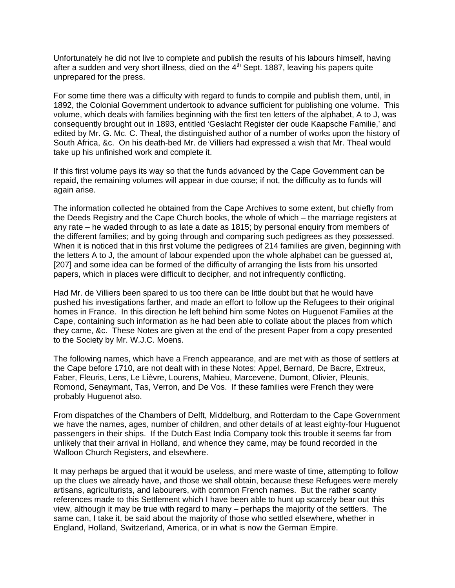Unfortunately he did not live to complete and publish the results of his labours himself, having after a sudden and very short illness, died on the  $4<sup>th</sup>$  Sept. 1887, leaving his papers quite unprepared for the press.

For some time there was a difficulty with regard to funds to compile and publish them, until, in 1892, the Colonial Government undertook to advance sufficient for publishing one volume. This volume, which deals with families beginning with the first ten letters of the alphabet, A to J, was consequently brought out in 1893, entitled 'Geslacht Register der oude Kaapsche Familie,' and edited by Mr. G. Mc. C. Theal, the distinguished author of a number of works upon the history of South Africa, &c. On his death-bed Mr. de Villiers had expressed a wish that Mr. Theal would take up his unfinished work and complete it.

If this first volume pays its way so that the funds advanced by the Cape Government can be repaid, the remaining volumes will appear in due course; if not, the difficulty as to funds will again arise.

The information collected he obtained from the Cape Archives to some extent, but chiefly from the Deeds Registry and the Cape Church books, the whole of which – the marriage registers at any rate – he waded through to as late a date as 1815; by personal enquiry from members of the different families; and by going through and comparing such pedigrees as they possessed. When it is noticed that in this first volume the pedigrees of 214 families are given, beginning with the letters A to J, the amount of labour expended upon the whole alphabet can be guessed at, [207] and some idea can be formed of the difficulty of arranging the lists from his unsorted papers, which in places were difficult to decipher, and not infrequently conflicting.

Had Mr. de Villiers been spared to us too there can be little doubt but that he would have pushed his investigations farther, and made an effort to follow up the Refugees to their original homes in France. In this direction he left behind him some Notes on Huguenot Families at the Cape, containing such information as he had been able to collate about the places from which they came, &c. These Notes are given at the end of the present Paper from a copy presented to the Society by Mr. W.J.C. Moens.

The following names, which have a French appearance, and are met with as those of settlers at the Cape before 1710, are not dealt with in these Notes: Appel, Bernard, De Bacre, Extreux, Faber, Fleuris, Lens, Le Lièvre, Lourens, Mahieu, Marcevene, Dumont, Olivier, Pleunis, Romond, Senaymant, Tas, Verron, and De Vos. If these families were French they were probably Huguenot also.

From dispatches of the Chambers of Delft, Middelburg, and Rotterdam to the Cape Government we have the names, ages, number of children, and other details of at least eighty-four Huguenot passengers in their ships. If the Dutch East India Company took this trouble it seems far from unlikely that their arrival in Holland, and whence they came, may be found recorded in the Walloon Church Registers, and elsewhere.

It may perhaps be argued that it would be useless, and mere waste of time, attempting to follow up the clues we already have, and those we shall obtain, because these Refugees were merely artisans, agriculturists, and labourers, with common French names. But the rather scanty references made to this Settlement which I have been able to hunt up scarcely bear out this view, although it may be true with regard to many – perhaps the majority of the settlers. The same can, I take it, be said about the majority of those who settled elsewhere, whether in England, Holland, Switzerland, America, or in what is now the German Empire.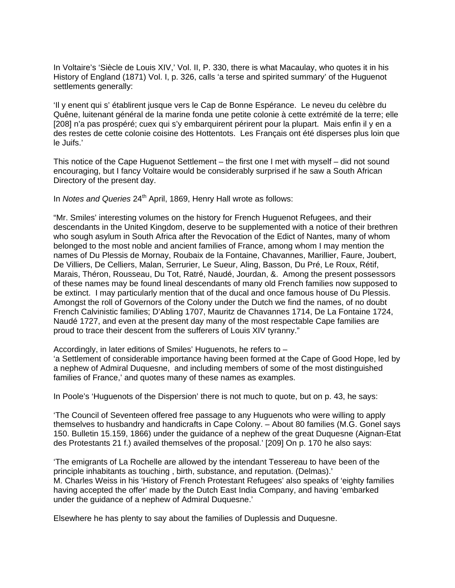In Voltaire's 'Siècle de Louis XIV,' Vol. II, P. 330, there is what Macaulay, who quotes it in his History of England (1871) Vol. I, p. 326, calls 'a terse and spirited summary' of the Huguenot settlements generally:

'Il y enent qui s' établirent jusque vers le Cap de Bonne Espérance. Le neveu du celèbre du Quêne, luitenant général de la marine fonda une petite colonie à cette extrémité de la terre; elle [208] n'a pas prospéré; cuex qui s'y embarquirent périrent pour la plupart. Mais enfin il y en a des restes de cette colonie coisine des Hottentots. Les Français ont été disperses plus loin que le Juifs.'

This notice of the Cape Huguenot Settlement – the first one I met with myself – did not sound encouraging, but I fancy Voltaire would be considerably surprised if he saw a South African Directory of the present day.

In *Notes and Queries* 24<sup>th</sup> April, 1869, Henry Hall wrote as follows:

"Mr. Smiles' interesting volumes on the history for French Huguenot Refugees, and their descendants in the United Kingdom, deserve to be supplemented with a notice of their brethren who sough asylum in South Africa after the Revocation of the Edict of Nantes, many of whom belonged to the most noble and ancient families of France, among whom I may mention the names of Du Plessis de Mornay, Roubaix de la Fontaine, Chavannes, Marillier, Faure, Joubert, De Villiers, De Celliers, Malan, Serrurier, Le Sueur, Aling, Basson, Du Pré, Le Roux, Rétif, Marais, Théron, Rousseau, Du Tot, Ratré, Naudé, Jourdan, &. Among the present possessors of these names may be found lineal descendants of many old French families now supposed to be extinct. I may particularly mention that of the ducal and once famous house of Du Plessis. Amongst the roll of Governors of the Colony under the Dutch we find the names, of no doubt French Calvinistic families; D'Abling 1707, Mauritz de Chavannes 1714, De La Fontaine 1724, Naudé 1727, and even at the present day many of the most respectable Cape families are proud to trace their descent from the sufferers of Louis XIV tyranny."

Accordingly, in later editions of Smiles' Huguenots, he refers to –

'a Settlement of considerable importance having been formed at the Cape of Good Hope, led by a nephew of Admiral Duquesne, and including members of some of the most distinguished families of France,' and quotes many of these names as examples.

In Poole's 'Huguenots of the Dispersion' there is not much to quote, but on p. 43, he says:

'The Council of Seventeen offered free passage to any Huguenots who were willing to apply themselves to husbandry and handicrafts in Cape Colony. – About 80 families (M.G. Gonel says 150. Bulletin 15.159, 1866) under the guidance of a nephew of the great Duquesne (Aignan-Etat des Protestants 21 f.) availed themselves of the proposal.' [209] On p. 170 he also says:

'The emigrants of La Rochelle are allowed by the intendant Tessereau to have been of the principle inhabitants as touching , birth, substance, and reputation. (Delmas).' M. Charles Weiss in his 'History of French Protestant Refugees' also speaks of 'eighty families having accepted the offer' made by the Dutch East India Company, and having 'embarked under the guidance of a nephew of Admiral Duquesne.'

Elsewhere he has plenty to say about the families of Duplessis and Duquesne.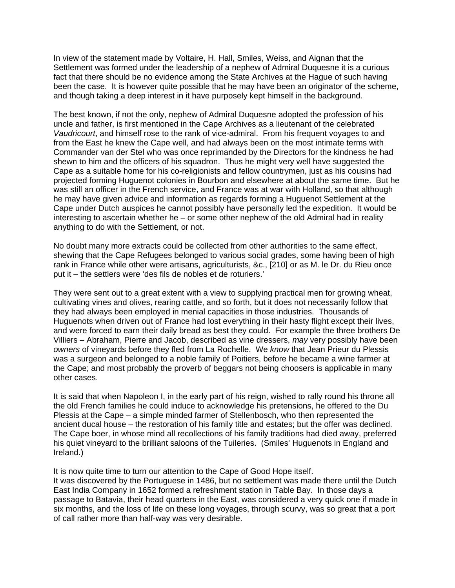In view of the statement made by Voltaire, H. Hall, Smiles, Weiss, and Aignan that the Settlement was formed under the leadership of a nephew of Admiral Duquesne it is a curious fact that there should be no evidence among the State Archives at the Hague of such having been the case. It is however quite possible that he may have been an originator of the scheme, and though taking a deep interest in it have purposely kept himself in the background.

The best known, if not the only, nephew of Admiral Duquesne adopted the profession of his uncle and father, is first mentioned in the Cape Archives as a lieutenant of the celebrated *Vaudricourt*, and himself rose to the rank of vice-admiral. From his frequent voyages to and from the East he knew the Cape well, and had always been on the most intimate terms with Commander van der Stel who was once reprimanded by the Directors for the kindness he had shewn to him and the officers of his squadron. Thus he might very well have suggested the Cape as a suitable home for his co-religionists and fellow countrymen, just as his cousins had projected forming Huguenot colonies in Bourbon and elsewhere at about the same time. But he was still an officer in the French service, and France was at war with Holland, so that although he may have given advice and information as regards forming a Huguenot Settlement at the Cape under Dutch auspices he cannot possibly have personally led the expedition. It would be interesting to ascertain whether he – or some other nephew of the old Admiral had in reality anything to do with the Settlement, or not.

No doubt many more extracts could be collected from other authorities to the same effect, shewing that the Cape Refugees belonged to various social grades, some having been of high rank in France while other were artisans, agriculturists, &c., [210] or as M. le Dr. du Rieu once put it – the settlers were 'des fils de nobles et de roturiers.'

They were sent out to a great extent with a view to supplying practical men for growing wheat, cultivating vines and olives, rearing cattle, and so forth, but it does not necessarily follow that they had always been employed in menial capacities in those industries. Thousands of Huguenots when driven out of France had lost everything in their hasty flight except their lives, and were forced to earn their daily bread as best they could. For example the three brothers De Villiers – Abraham, Pierre and Jacob, described as vine dressers, *may* very possibly have been *owners* of vineyards before they fled from La Rochelle. We *know* that Jean Prieur du Plessis was a surgeon and belonged to a noble family of Poitiers, before he became a wine farmer at the Cape; and most probably the proverb of beggars not being choosers is applicable in many other cases.

It is said that when Napoleon I, in the early part of his reign, wished to rally round his throne all the old French families he could induce to acknowledge his pretensions, he offered to the Du Plessis at the Cape – a simple minded farmer of Stellenbosch, who then represented the ancient ducal house – the restoration of his family title and estates; but the offer was declined. The Cape boer, in whose mind all recollections of his family traditions had died away, preferred his quiet vineyard to the brilliant saloons of the Tuileries. (Smiles' Huguenots in England and Ireland.)

It is now quite time to turn our attention to the Cape of Good Hope itself.

It was discovered by the Portuguese in 1486, but no settlement was made there until the Dutch East India Company in 1652 formed a refreshment station in Table Bay. In those days a passage to Batavia, their head quarters in the East, was considered a very quick one if made in six months, and the loss of life on these long voyages, through scurvy, was so great that a port of call rather more than half-way was very desirable.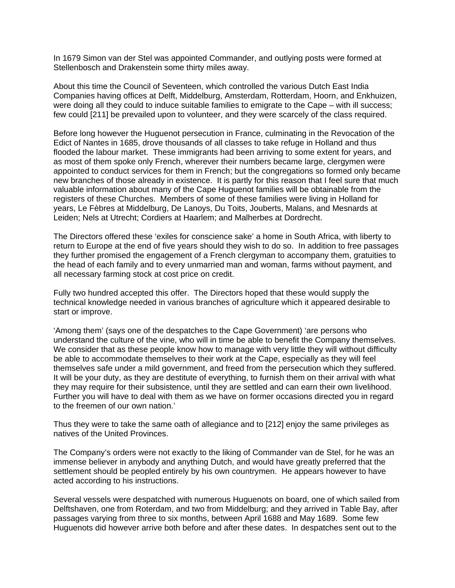In 1679 Simon van der Stel was appointed Commander, and outlying posts were formed at Stellenbosch and Drakenstein some thirty miles away.

About this time the Council of Seventeen, which controlled the various Dutch East India Companies having offices at Delft, Middelburg, Amsterdam, Rotterdam, Hoorn, and Enkhuizen, were doing all they could to induce suitable families to emigrate to the Cape – with ill success; few could [211] be prevailed upon to volunteer, and they were scarcely of the class required.

Before long however the Huguenot persecution in France, culminating in the Revocation of the Edict of Nantes in 1685, drove thousands of all classes to take refuge in Holland and thus flooded the labour market. These immigrants had been arriving to some extent for years, and as most of them spoke only French, wherever their numbers became large, clergymen were appointed to conduct services for them in French; but the congregations so formed only became new branches of those already in existence. It is partly for this reason that I feel sure that much valuable information about many of the Cape Huguenot families will be obtainable from the registers of these Churches. Members of some of these families were living in Holland for years, Le Fèbres at Middelburg, De Lanoys, Du Toits, Jouberts, Malans, and Mesnards at Leiden; Nels at Utrecht; Cordiers at Haarlem; and Malherbes at Dordrecht.

The Directors offered these 'exiles for conscience sake' a home in South Africa, with liberty to return to Europe at the end of five years should they wish to do so. In addition to free passages they further promised the engagement of a French clergyman to accompany them, gratuities to the head of each family and to every unmarried man and woman, farms without payment, and all necessary farming stock at cost price on credit.

Fully two hundred accepted this offer. The Directors hoped that these would supply the technical knowledge needed in various branches of agriculture which it appeared desirable to start or improve.

'Among them' (says one of the despatches to the Cape Government) 'are persons who understand the culture of the vine, who will in time be able to benefit the Company themselves. We consider that as these people know how to manage with very little they will without difficulty be able to accommodate themselves to their work at the Cape, especially as they will feel themselves safe under a mild government, and freed from the persecution which they suffered. It will be your duty, as they are destitute of everything, to furnish them on their arrival with what they may require for their subsistence, until they are settled and can earn their own livelihood. Further you will have to deal with them as we have on former occasions directed you in regard to the freemen of our own nation.'

Thus they were to take the same oath of allegiance and to [212] enjoy the same privileges as natives of the United Provinces.

The Company's orders were not exactly to the liking of Commander van de Stel, for he was an immense believer in anybody and anything Dutch, and would have greatly preferred that the settlement should be peopled entirely by his own countrymen. He appears however to have acted according to his instructions.

Several vessels were despatched with numerous Huguenots on board, one of which sailed from Delftshaven, one from Roterdam, and two from Middelburg; and they arrived in Table Bay, after passages varying from three to six months, between April 1688 and May 1689. Some few Huguenots did however arrive both before and after these dates. In despatches sent out to the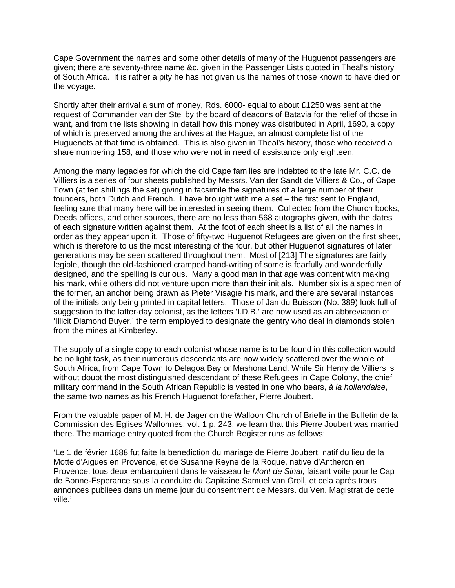Cape Government the names and some other details of many of the Huguenot passengers are given; there are seventy-three name &c. given in the Passenger Lists quoted in Theal's history of South Africa. It is rather a pity he has not given us the names of those known to have died on the voyage.

Shortly after their arrival a sum of money, Rds. 6000- equal to about £1250 was sent at the request of Commander van der Stel by the board of deacons of Batavia for the relief of those in want, and from the lists showing in detail how this money was distributed in April, 1690, a copy of which is preserved among the archives at the Hague, an almost complete list of the Huguenots at that time is obtained. This is also given in Theal's history, those who received a share numbering 158, and those who were not in need of assistance only eighteen.

Among the many legacies for which the old Cape families are indebted to the late Mr. C.C. de Villiers is a series of four sheets published by Messrs. Van der Sandt de Villiers & Co., of Cape Town (at ten shillings the set) giving in facsimile the signatures of a large number of their founders, both Dutch and French. I have brought with me a set – the first sent to England, feeling sure that many here will be interested in seeing them. Collected from the Church books, Deeds offices, and other sources, there are no less than 568 autographs given, with the dates of each signature written against them. At the foot of each sheet is a list of all the names in order as they appear upon it. Those of fifty-two Huguenot Refugees are given on the first sheet, which is therefore to us the most interesting of the four, but other Huguenot signatures of later generations may be seen scattered throughout them. Most of [213] The signatures are fairly legible, though the old-fashioned cramped hand-writing of some is fearfully and wonderfully designed, and the spelling is curious. Many a good man in that age was content with making his mark, while others did not venture upon more than their initials. Number six is a specimen of the former, an anchor being drawn as Pieter Visagie his mark, and there are several instances of the initials only being printed in capital letters. Those of Jan du Buisson (No. 389) look full of suggestion to the latter-day colonist, as the letters 'I.D.B.' are now used as an abbreviation of 'Illicit Diamond Buyer,' the term employed to designate the gentry who deal in diamonds stolen from the mines at Kimberley.

The supply of a single copy to each colonist whose name is to be found in this collection would be no light task, as their numerous descendants are now widely scattered over the whole of South Africa, from Cape Town to Delagoa Bay or Mashona Land. While Sir Henry de Villiers is without doubt the most distinguished descendant of these Refugees in Cape Colony, the chief military command in the South African Republic is vested in one who bears, *à la hollandaise*, the same two names as his French Huguenot forefather, Pierre Joubert.

From the valuable paper of M. H. de Jager on the Walloon Church of Brielle in the Bulletin de la Commission des Eglises Wallonnes, vol. 1 p. 243, we learn that this Pierre Joubert was married there. The marriage entry quoted from the Church Register runs as follows:

'Le 1 de février 1688 fut faite la benediction du mariage de Pierre Joubert, natif du lieu de la Motte d'Aigues en Provence, et de Susanne Reyne de la Roque, native d'Antheron en Provence; tous deux embarquirent dans le vaisseau le *Mont de Sinai*, faisant voile pour le Cap de Bonne-Esperance sous la conduite du Capitaine Samuel van Groll, et cela après trous annonces publiees dans un meme jour du consentment de Messrs. du Ven. Magistrat de cette ville.'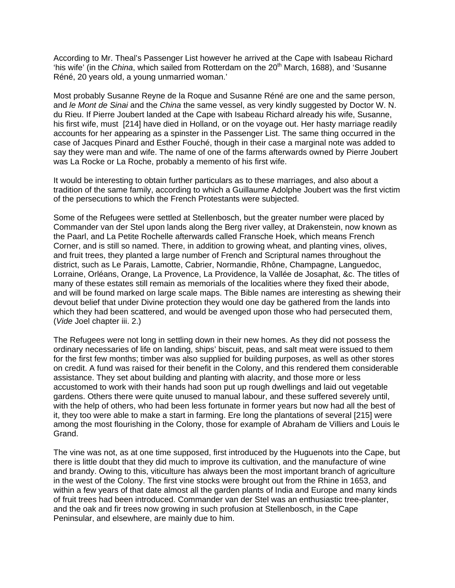According to Mr. Theal's Passenger List however he arrived at the Cape with Isabeau Richard 'his wife' (in the *China*, which sailed from Rotterdam on the 20<sup>th</sup> March, 1688), and 'Susanne Réné, 20 years old, a young unmarried woman.'

Most probably Susanne Reyne de la Roque and Susanne Réné are one and the same person, and *le Mont de Sinai* and the *China* the same vessel, as very kindly suggested by Doctor W. N. du Rieu. If Pierre Joubert landed at the Cape with Isabeau Richard already his wife, Susanne, his first wife, must [214] have died in Holland, or on the voyage out. Her hasty marriage readily accounts for her appearing as a spinster in the Passenger List. The same thing occurred in the case of Jacques Pinard and Esther Fouché, though in their case a marginal note was added to say they were man and wife. The name of one of the farms afterwards owned by Pierre Joubert was La Rocke or La Roche, probably a memento of his first wife.

It would be interesting to obtain further particulars as to these marriages, and also about a tradition of the same family, according to which a Guillaume Adolphe Joubert was the first victim of the persecutions to which the French Protestants were subjected.

Some of the Refugees were settled at Stellenbosch, but the greater number were placed by Commander van der Stel upon lands along the Berg river valley, at Drakenstein, now known as the Paarl, and La Petite Rochelle afterwards called Fransche Hoek, which means French Corner, and is still so named. There, in addition to growing wheat, and planting vines, olives, and fruit trees, they planted a large number of French and Scriptural names throughout the district, such as Le Parais, Lamotte, Cabrier, Normandie, Rhône, Champagne, Languedoc, Lorraine, Orléans, Orange, La Provence, La Providence, la Vallée de Josaphat, &c. The titles of many of these estates still remain as memorials of the localities where they fixed their abode, and will be found marked on large scale maps. The Bible names are interesting as shewing their devout belief that under Divine protection they would one day be gathered from the lands into which they had been scattered, and would be avenged upon those who had persecuted them, (*Vide* Joel chapter iii. 2.)

The Refugees were not long in settling down in their new homes. As they did not possess the ordinary necessaries of life on landing, ships' biscuit, peas, and salt meat were issued to them for the first few months; timber was also supplied for building purposes, as well as other stores on credit. A fund was raised for their benefit in the Colony, and this rendered them considerable assistance. They set about building and planting with alacrity, and those more or less accustomed to work with their hands had soon put up rough dwellings and laid out vegetable gardens. Others there were quite unused to manual labour, and these suffered severely until, with the help of others, who had been less fortunate in former years but now had all the best of it, they too were able to make a start in farming. Ere long the plantations of several [215] were among the most flourishing in the Colony, those for example of Abraham de Villiers and Louis le Grand.

The vine was not, as at one time supposed, first introduced by the Huguenots into the Cape, but there is little doubt that they did much to improve its cultivation, and the manufacture of wine and brandy. Owing to this, viticulture has always been the most important branch of agriculture in the west of the Colony. The first vine stocks were brought out from the Rhine in 1653, and within a few years of that date almost all the garden plants of India and Europe and many kinds of fruit trees had been introduced. Commander van der Stel was an enthusiastic tree-planter, and the oak and fir trees now growing in such profusion at Stellenbosch, in the Cape Peninsular, and elsewhere, are mainly due to him.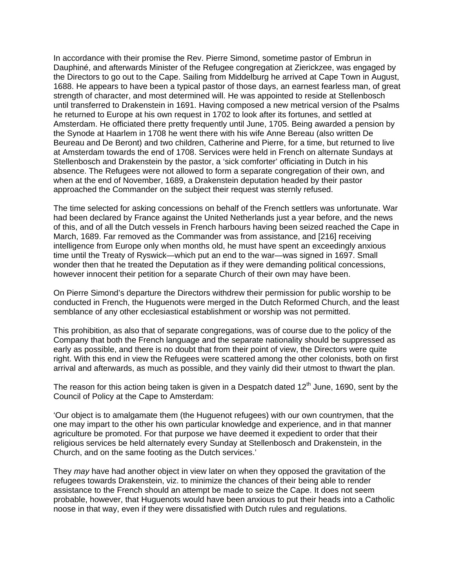In accordance with their promise the Rev. Pierre Simond, sometime pastor of Embrun in Dauphiné, and afterwards Minister of the Refugee congregation at Zierickzee, was engaged by the Directors to go out to the Cape. Sailing from Middelburg he arrived at Cape Town in August, 1688. He appears to have been a typical pastor of those days, an earnest fearless man, of great strength of character, and most determined will. He was appointed to reside at Stellenbosch until transferred to Drakenstein in 1691. Having composed a new metrical version of the Psalms he returned to Europe at his own request in 1702 to look after its fortunes, and settled at Amsterdam. He officiated there pretty frequently until June, 1705. Being awarded a pension by the Synode at Haarlem in 1708 he went there with his wife Anne Bereau (also written De Beureau and De Beront) and two children, Catherine and Pierre, for a time, but returned to live at Amsterdam towards the end of 1708. Services were held in French on alternate Sundays at Stellenbosch and Drakenstein by the pastor, a 'sick comforter' officiating in Dutch in his absence. The Refugees were not allowed to form a separate congregation of their own, and when at the end of November, 1689, a Drakenstein deputation headed by their pastor approached the Commander on the subject their request was sternly refused.

The time selected for asking concessions on behalf of the French settlers was unfortunate. War had been declared by France against the United Netherlands just a year before, and the news of this, and of all the Dutch vessels in French harbours having been seized reached the Cape in March, 1689. Far removed as the Commander was from assistance, and [216] receiving intelligence from Europe only when months old, he must have spent an exceedingly anxious time until the Treaty of Ryswick—which put an end to the war—was signed in 1697. Small wonder then that he treated the Deputation as if they were demanding political concessions, however innocent their petition for a separate Church of their own may have been.

On Pierre Simond's departure the Directors withdrew their permission for public worship to be conducted in French, the Huguenots were merged in the Dutch Reformed Church, and the least semblance of any other ecclesiastical establishment or worship was not permitted.

This prohibition, as also that of separate congregations, was of course due to the policy of the Company that both the French language and the separate nationality should be suppressed as early as possible, and there is no doubt that from their point of view, the Directors were quite right. With this end in view the Refugees were scattered among the other colonists, both on first arrival and afterwards, as much as possible, and they vainly did their utmost to thwart the plan.

The reason for this action being taken is given in a Despatch dated  $12<sup>th</sup>$  June, 1690, sent by the Council of Policy at the Cape to Amsterdam:

'Our object is to amalgamate them (the Huguenot refugees) with our own countrymen, that the one may impart to the other his own particular knowledge and experience, and in that manner agriculture be promoted. For that purpose we have deemed it expedient to order that their religious services be held alternately every Sunday at Stellenbosch and Drakenstein, in the Church, and on the same footing as the Dutch services.'

They *may* have had another object in view later on when they opposed the gravitation of the refugees towards Drakenstein, viz. to minimize the chances of their being able to render assistance to the French should an attempt be made to seize the Cape. It does not seem probable, however, that Huguenots would have been anxious to put their heads into a Catholic noose in that way, even if they were dissatisfied with Dutch rules and regulations.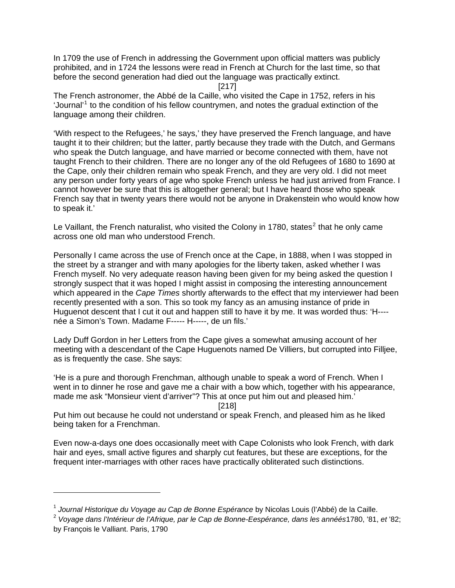In 1709 the use of French in addressing the Government upon official matters was publicly prohibited, and in 1724 the lessons were read in French at Church for the last time, so that before the second generation had died out the language was practically extinct.

[217]

The French astronomer, the Abbé de la Caille, who visited the Cape in 1752, refers in his 'Journal'<sup>[1](#page-8-0)</sup> to the condition of his fellow countrymen, and notes the gradual extinction of the language among their children.

'With respect to the Refugees,' he says,' they have preserved the French language, and have taught it to their children; but the latter, partly because they trade with the Dutch, and Germans who speak the Dutch language, and have married or become connected with them, have not taught French to their children. There are no longer any of the old Refugees of 1680 to 1690 at the Cape, only their children remain who speak French, and they are very old. I did not meet any person under forty years of age who spoke French unless he had just arrived from France. I cannot however be sure that this is altogether general; but I have heard those who speak French say that in twenty years there would not be anyone in Drakenstein who would know how to speak it.'

Le Vaillant, the French naturalist, who visited the Colony in 1780, states<sup>[2](#page-8-1)</sup> that he only came across one old man who understood French.

Personally I came across the use of French once at the Cape, in 1888, when I was stopped in the street by a stranger and with many apologies for the liberty taken, asked whether I was French myself. No very adequate reason having been given for my being asked the question I strongly suspect that it was hoped I might assist in composing the interesting announcement which appeared in the *Cape Times* shortly afterwards to the effect that my interviewer had been recently presented with a son. This so took my fancy as an amusing instance of pride in Huguenot descent that I cut it out and happen still to have it by me. It was worded thus: 'H--- née a Simon's Town. Madame F----- H-----, de un fils.'

Lady Duff Gordon in her Letters from the Cape gives a somewhat amusing account of her meeting with a descendant of the Cape Huguenots named De Villiers, but corrupted into Filljee, as is frequently the case. She says:

'He is a pure and thorough Frenchman, although unable to speak a word of French. When I went in to dinner he rose and gave me a chair with a bow which, together with his appearance, made me ask "Monsieur vient d'arriver"? This at once put him out and pleased him.'

[218]

Put him out because he could not understand or speak French, and pleased him as he liked being taken for a Frenchman.

Even now-a-days one does occasionally meet with Cape Colonists who look French, with dark hair and eyes, small active figures and sharply cut features, but these are exceptions, for the frequent inter-marriages with other races have practically obliterated such distinctions.

-

<span id="page-8-0"></span><sup>1</sup> *Journal Historique du Voyage au Cap de Bonne Espérance* by Nicolas Louis (l'Abbé) de la Caille.

<span id="page-8-1"></span><sup>2</sup> *Voyage dans l'Intérieur de l'Afrique, par le Cap de Bonne-Eespérance, dans les annéés*1780, '81, *et* '82; by François le Valliant. Paris, 1790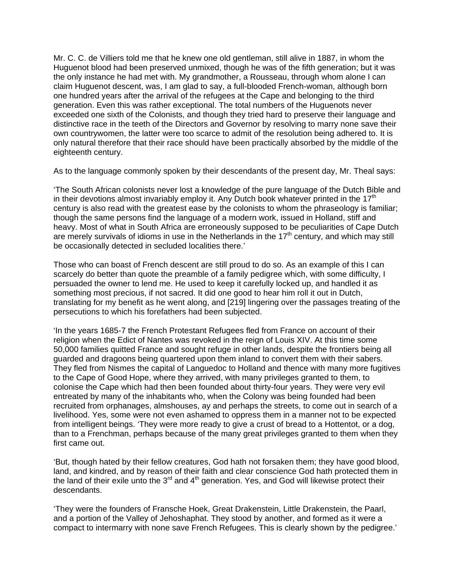Mr. C. C. de Villiers told me that he knew one old gentleman, still alive in 1887, in whom the Huguenot blood had been preserved unmixed, though he was of the fifth generation; but it was the only instance he had met with. My grandmother, a Rousseau, through whom alone I can claim Huguenot descent, was, I am glad to say, a full-blooded French-woman, although born one hundred years after the arrival of the refugees at the Cape and belonging to the third generation. Even this was rather exceptional. The total numbers of the Huguenots never exceeded one sixth of the Colonists, and though they tried hard to preserve their language and distinctive race in the teeth of the Directors and Governor by resolving to marry none save their own countrywomen, the latter were too scarce to admit of the resolution being adhered to. It is only natural therefore that their race should have been practically absorbed by the middle of the eighteenth century.

As to the language commonly spoken by their descendants of the present day, Mr. Theal says:

'The South African colonists never lost a knowledge of the pure language of the Dutch Bible and in their devotions almost invariably employ it. Any Dutch book whatever printed in the  $17<sup>th</sup>$ century is also read with the greatest ease by the colonists to whom the phraseology is familiar; though the same persons find the language of a modern work, issued in Holland, stiff and heavy. Most of what in South Africa are erroneously supposed to be peculiarities of Cape Dutch are merely survivals of idioms in use in the Netherlands in the  $17<sup>th</sup>$  century, and which may still be occasionally detected in secluded localities there.'

Those who can boast of French descent are still proud to do so. As an example of this I can scarcely do better than quote the preamble of a family pedigree which, with some difficulty, I persuaded the owner to lend me. He used to keep it carefully locked up, and handled it as something most precious, if not sacred. It did one good to hear him roll it out in Dutch, translating for my benefit as he went along, and [219] lingering over the passages treating of the persecutions to which his forefathers had been subjected.

'In the years 1685-7 the French Protestant Refugees fled from France on account of their religion when the Edict of Nantes was revoked in the reign of Louis XIV. At this time some 50,000 families quitted France and sought refuge in other lands, despite the frontiers being all guarded and dragoons being quartered upon them inland to convert them with their sabers. They fled from Nismes the capital of Languedoc to Holland and thence with many more fugitives to the Cape of Good Hope, where they arrived, with many privileges granted to them, to colonise the Cape which had then been founded about thirty-four years. They were very evil entreated by many of the inhabitants who, when the Colony was being founded had been recruited from orphanages, almshouses, ay and perhaps the streets, to come out in search of a livelihood. Yes, some were not even ashamed to oppress them in a manner not to be expected from intelligent beings. 'They were more ready to give a crust of bread to a Hottentot, or a dog, than to a Frenchman, perhaps because of the many great privileges granted to them when they first came out.

'But, though hated by their fellow creatures, God hath not forsaken them; they have good blood, land, and kindred, and by reason of their faith and clear conscience God hath protected them in the land of their exile unto the  $3<sup>rd</sup>$  and  $4<sup>th</sup>$  generation. Yes, and God will likewise protect their descendants.

'They were the founders of Fransche Hoek, Great Drakenstein, Little Drakenstein, the Paarl, and a portion of the Valley of Jehoshaphat. They stood by another, and formed as it were a compact to intermarry with none save French Refugees. This is clearly shown by the pedigree.'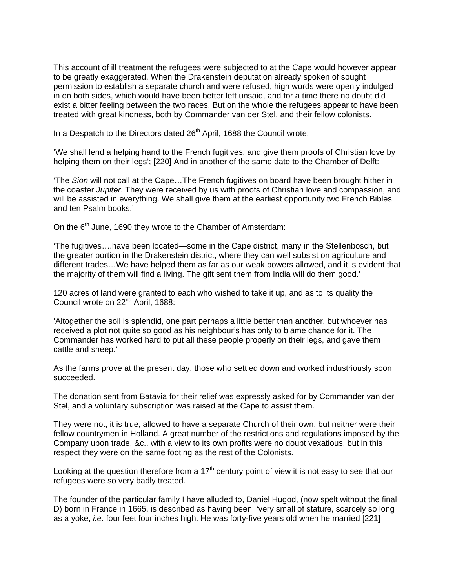This account of ill treatment the refugees were subjected to at the Cape would however appear to be greatly exaggerated. When the Drakenstein deputation already spoken of sought permission to establish a separate church and were refused, high words were openly indulged in on both sides, which would have been better left unsaid, and for a time there no doubt did exist a bitter feeling between the two races. But on the whole the refugees appear to have been treated with great kindness, both by Commander van der Stel, and their fellow colonists.

In a Despatch to the Directors dated  $26<sup>th</sup>$  April, 1688 the Council wrote:

'We shall lend a helping hand to the French fugitives, and give them proofs of Christian love by helping them on their legs'; [220] And in another of the same date to the Chamber of Delft:

'The *Sion* will not call at the Cape…The French fugitives on board have been brought hither in the coaster *Jupiter*. They were received by us with proofs of Christian love and compassion, and will be assisted in everything. We shall give them at the earliest opportunity two French Bibles and ten Psalm books.'

On the  $6<sup>th</sup>$  June, 1690 they wrote to the Chamber of Amsterdam:

'The fugitives….have been located—some in the Cape district, many in the Stellenbosch, but the greater portion in the Drakenstein district, where they can well subsist on agriculture and different trades…We have helped them as far as our weak powers allowed, and it is evident that the majority of them will find a living. The gift sent them from India will do them good.'

120 acres of land were granted to each who wished to take it up, and as to its quality the Council wrote on 22nd April, 1688:

'Altogether the soil is splendid, one part perhaps a little better than another, but whoever has received a plot not quite so good as his neighbour's has only to blame chance for it. The Commander has worked hard to put all these people properly on their legs, and gave them cattle and sheep.'

As the farms prove at the present day, those who settled down and worked industriously soon succeeded.

The donation sent from Batavia for their relief was expressly asked for by Commander van der Stel, and a voluntary subscription was raised at the Cape to assist them.

They were not, it is true, allowed to have a separate Church of their own, but neither were their fellow countrymen in Holland. A great number of the restrictions and regulations imposed by the Company upon trade, &c., with a view to its own profits were no doubt vexatious, but in this respect they were on the same footing as the rest of the Colonists.

Looking at the question therefore from a  $17<sup>th</sup>$  century point of view it is not easy to see that our refugees were so very badly treated.

The founder of the particular family I have alluded to, Daniel Hugod, (now spelt without the final D) born in France in 1665, is described as having been 'very small of stature, scarcely so long as a yoke, *i.e.* four feet four inches high. He was forty-five years old when he married [221]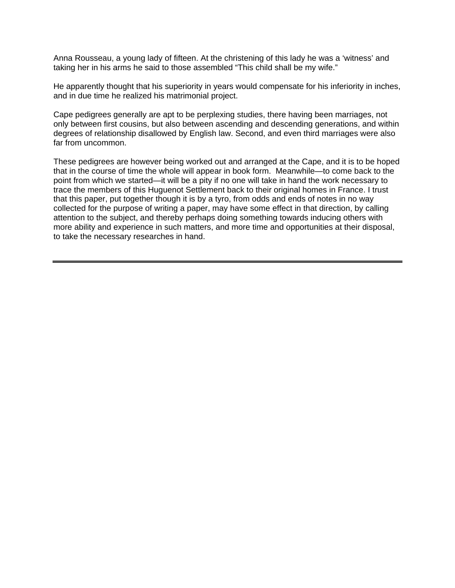Anna Rousseau, a young lady of fifteen. At the christening of this lady he was a 'witness' and taking her in his arms he said to those assembled "This child shall be my wife."

He apparently thought that his superiority in years would compensate for his inferiority in inches, and in due time he realized his matrimonial project.

Cape pedigrees generally are apt to be perplexing studies, there having been marriages, not only between first cousins, but also between ascending and descending generations, and within degrees of relationship disallowed by English law. Second, and even third marriages were also far from uncommon.

These pedigrees are however being worked out and arranged at the Cape, and it is to be hoped that in the course of time the whole will appear in book form. Meanwhile—to come back to the point from which we started—it will be a pity if no one will take in hand the work necessary to trace the members of this Huguenot Settlement back to their original homes in France. I trust that this paper, put together though it is by a tyro, from odds and ends of notes in no way collected for the purpose of writing a paper, may have some effect in that direction, by calling attention to the subject, and thereby perhaps doing something towards inducing others with more ability and experience in such matters, and more time and opportunities at their disposal, to take the necessary researches in hand.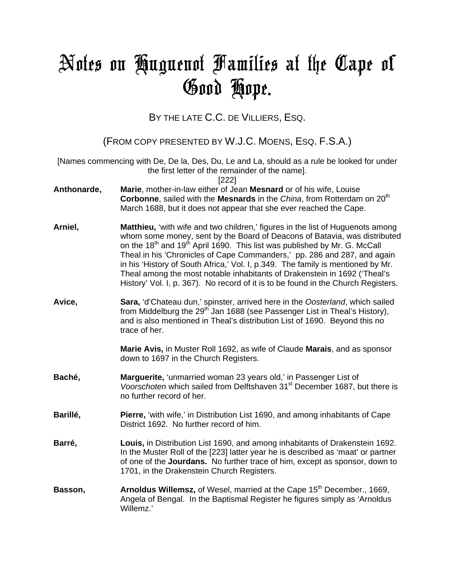## Notes on Huguenot Families at the Cape of Good Hope**.**

BY THE LATE C.C. DE VILLIERS, ESQ.

(FROM COPY PRESENTED BY W.J.C. MOENS, ESQ. F.S.A.)

[Names commencing with De, De la, Des, Du, Le and La, should as a rule be looked for under the first letter of the remainder of the name].

[222]

- **Anthonarde, Marie**, mother-in-law either of Jean **Mesnard** or of his wife, Louise **Corbonne**, sailed with the **Mesnards** in the *China*, from Rotterdam on 20<sup>th</sup> March 1688, but it does not appear that she ever reached the Cape.
- **Arniel, Matthieu,** 'with wife and two children,' figures in the list of Huguenots among whom some money, sent by the Board of Deacons of Batavia, was distributed on the 18<sup>th</sup> and 19<sup>th</sup> April 1690. This list was published by Mr. G. McCall Theal in his 'Chronicles of Cape Commanders,' pp. 286 and 287, and again in his 'History of South Africa,' Vol. I, p.349. The family is mentioned by Mr. Theal among the most notable inhabitants of Drakenstein in 1692 ('Theal's History' Vol. I, p. 367). No record of it is to be found in the Church Registers.
- **Avice, Sara,** 'd'Chateau dun,' spinster, arrived here in the *Oosterland*, which sailed from Middelburg the  $29<sup>th</sup>$  Jan 1688 (see Passenger List in Theal's History). and is also mentioned in Theal's distribution List of 1690. Beyond this no trace of her.

**Marie Avis,** in Muster Roll 1692, as wife of Claude **Marais**, and as sponsor down to 1697 in the Church Registers.

- **Baché, Marguerite,** 'unmarried woman 23 years old,' in Passenger List of *Voorschoten* which sailed from Delftshaven 31<sup>st</sup> December 1687, but there is no further record of her.
- **Barillé, Pierre, 'with wife,' in Distribution List 1690, and among inhabitants of Cape** District 1692. No further record of him.
- **Barré, Louis,** in Distribution List 1690, and among inhabitants of Drakenstein 1692. In the Muster Roll of the [223] latter year he is described as 'maat' or partner of one of the **Jourdans.** No further trace of him, except as sponsor, down to 1701, in the Drakenstein Church Registers.
- **Basson, Figure 20. Arnoldus Willemsz,** of Wesel, married at the Cape 15<sup>th</sup> December., 1669, Angela of Bengal. In the Baptismal Register he figures simply as 'Arnoldus Willemz.'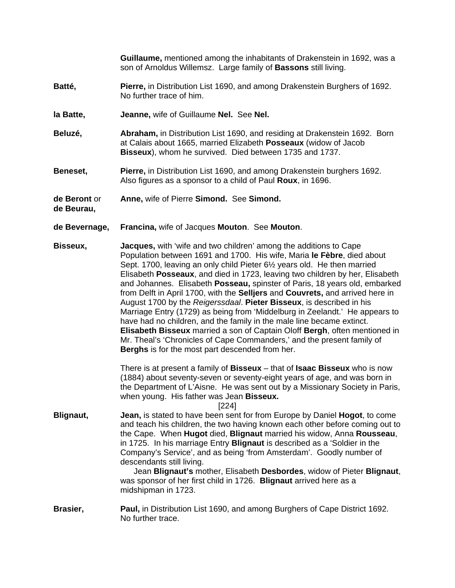**Guillaume,** mentioned among the inhabitants of Drakenstein in 1692, was a son of Arnoldus Willemsz. Large family of **Bassons** still living.

- **Batté, Pierre,** in Distribution List 1690, and among Drakenstein Burghers of 1692. No further trace of him.
- **la Batte, Jeanne,** wife of Guillaume **Nel.** See **Nel.**
- **Beluzé, Abraham,** in Distribution List 1690, and residing at Drakenstein 1692. Born at Calais about 1665, married Elizabeth **Posseaux** (widow of Jacob **Bisseux**), whom he survived. Died between 1735 and 1737.
- **Beneset, Pierre,** in Distribution List 1690, and among Drakenstein burghers 1692. Also figures as a sponsor to a child of Paul **Roux**, in 1696.
- **de Beront** or **Anne,** wife of Pierre **Simond.** See **Simond.**
- **de Beurau,**
- **de Bevernage, Francina,** wife of Jacques **Mouton**. See **Mouton**.

**Bisseux, Jacques,** with 'wife and two children' among the additions to Cape Population between 1691 and 1700. His wife, Maria **le Fèbre**, died about Sept. 1700, leaving an only child Pieter 6½ years old. He then married Elisabeth **Posseaux**, and died in 1723, leaving two children by her, Elisabeth and Johannes. Elisabeth **Posseau,** spinster of Paris, 18 years old, embarked from Delft in April 1700, with the **Selljers** and **Couvrets,** and arrived here in August 1700 by the *Reigerssdaal*. **Pieter Bisseux**, is described in his Marriage Entry (1729) as being from 'Middelburg in Zeelandt.' He appears to have had no children, and the family in the male line became extinct. **Elisabeth Bisseux** married a son of Captain Oloff **Bergh**, often mentioned in Mr. Theal's 'Chronicles of Cape Commanders,' and the present family of **Berghs** is for the most part descended from her.

> There is at present a family of **Bisseux** – that of **Isaac Bisseux** who is now (1884) about seventy-seven or seventy-eight years of age, and was born in the Department of L'Aisne. He was sent out by a Missionary Society in Paris, when young. His father was Jean **Bisseux.**

> > [224]

**Blignaut, Jean,** is stated to have been sent for from Europe by Daniel **Hogot**, to come and teach his children, the two having known each other before coming out to the Cape. When **Hugot** died, **Blignaut** married his widow, Anna **Rousseau**, in 1725. In his marriage Entry **Blignaut** is described as a 'Soldier in the Company's Service', and as being 'from Amsterdam'. Goodly number of descendants still living.

> Jean **Blignaut's** mother, Elisabeth **Desbordes**, widow of Pieter **Blignaut**, was sponsor of her first child in 1726. **Blignaut** arrived here as a midshipman in 1723.

**Brasier, Paul,** in Distribution List 1690, and among Burghers of Cape District 1692. No further trace.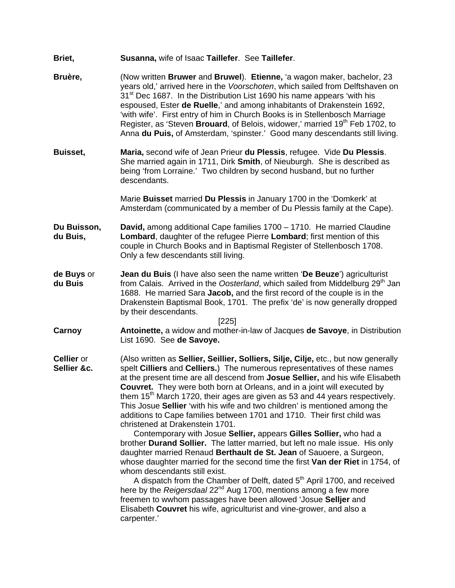- **Briet, Susanna,** wife of Isaac **Taillefer**. See **Taillefer**.
- **Bruère,** (Now written **Bruwer** and **Bruwel**). **Etienne,** 'a wagon maker, bachelor, 23 years old,' arrived here in the *Voorschoten*, which sailed from Delftshaven on 31<sup>st</sup> Dec 1687. In the Distribution List 1690 his name appears 'with his espoused, Ester **de Ruelle**,' and among inhabitants of Drakenstein 1692, 'with wife'. First entry of him in Church Books is in Stellenbosch Marriage Register, as 'Steven **Brouard**, of Belois, widower,' married 19<sup>th</sup> Feb 1702, to Anna **du Puis,** of Amsterdam, 'spinster.' Good many descendants still living.
- **Buisset, Maria,** second wife of Jean Prieur **du Plessis**, refugee. Vide **Du Plessis**. She married again in 1711, Dirk **Smith**, of Nieuburgh. She is described as being 'from Lorraine.' Two children by second husband, but no further descendants.

 Marie **Buisset** married **Du Plessis** in January 1700 in the 'Domkerk' at Amsterdam (communicated by a member of Du Plessis family at the Cape).

- **Du Buisson, David,** among additional Cape families 1700 1710. He married Claudine **du Buis, Lombard**, daughter of the refugee Pierre **Lombard**; first mention of this couple in Church Books and in Baptismal Register of Stellenbosch 1708. Only a few descendants still living.
- **de Buys** or **Jean du Buis** (I have also seen the name written '**De Beuze**') agriculturist **du Buis from Calais.** Arrived in the *Oosterland*, which sailed from Middelburg 29<sup>th</sup> Jan 1688. He married Sara **Jacob,** and the first record of the couple is in the Drakenstein Baptismal Book, 1701. The prefix 'de' is now generally dropped by their descendants.

[225]

- **Carnoy Antoinette,** a widow and mother-in-law of Jacques **de Savoye**, in Distribution List 1690. See **de Savoye.**
- **Cellier** or (Also written as **Sellier, Seillier, Solliers, Silje, Cilje,** etc., but now generally **Sellier &c.** spelt **Cilliers** and **Celliers.**) The numerous representatives of these names at the present time are all descend from **Josue Sellier,** and his wife Elisabeth **Couvret.** They were both born at Orleans, and in a joint will executed by them 15<sup>th</sup> March 1720, their ages are given as 53 and 44 years respectively. This Josue **Sellier** 'with his wife and two children' is mentioned among the additions to Cape families between 1701 and 1710. Their first child was christened at Drakenstein 1701.

 Contemporary with Josue **Sellier,** appears **Gilles Sollier,** who had a brother **Durand Sollier.** The latter married, but left no male issue. His only daughter married Renaud **Berthault de St. Jean** of Sauoere, a Surgeon, whose daughter married for the second time the first **Van der Riet** in 1754, of whom descendants still exist.

A dispatch from the Chamber of Delft, dated 5<sup>th</sup> April 1700, and received here by the *Reigersdaal* 22<sup>nd</sup> Aug 1700, mentions among a few more freemen to wwhom passages have been allowed 'Josue **Selljer** and Elisabeth **Couvret** his wife, agriculturist and vine-grower, and also a carpenter.'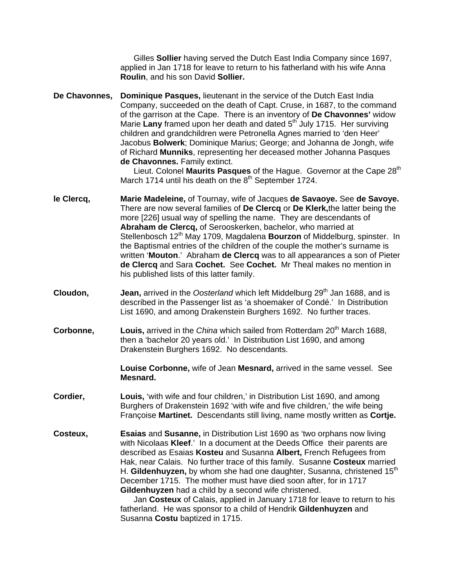Gilles **Sollier** having served the Dutch East India Company since 1697, applied in Jan 1718 for leave to return to his fatherland with his wife Anna **Roulin**, and his son David **Sollier.**

**De Chavonnes, Dominique Pasques,** lieutenant in the service of the Dutch East India Company, succeeded on the death of Capt. Cruse, in 1687, to the command of the garrison at the Cape. There is an inventory of **De Chavonnes'** widow Marie Lany framed upon her death and dated 5<sup>th</sup> July 1715. Her surviving children and grandchildren were Petronella Agnes married to 'den Heer' Jacobus **Bolwerk**; Dominique Marius; George; and Johanna de Jongh, wife of Richard **Munniks**, representing her deceased mother Johanna Pasques **de Chavonnes.** Family extinct.

Lieut. Colonel Maurits Pasques of the Hague. Governor at the Cape 28<sup>th</sup> March 1714 until his death on the  $8<sup>th</sup>$  September 1724.

- **le Clercq, Marie Madeleine,** of Tournay, wife of Jacques **de Savaoye.** See **de Savoye.** There are now several families of **De Clercq** or **De Klerk,**the latter being the more [226] usual way of spelling the name. They are descendants of **Abraham de Clercq,** of Serooskerken, bachelor, who married at Stellenbosch 12th May 1709, Magdalena **Bourzon** of Middelburg, spinster. In the Baptismal entries of the children of the couple the mother's surname is written '**Mouton**.' Abraham **de Clercq** was to all appearances a son of Pieter **de Clercq** and Sara **Cochet.** See **Cochet.** Mr Theal makes no mention in his published lists of this latter family.
- **Cloudon, Jean, arrived in the** *Oosterland* which left Middelburg 29<sup>th</sup> Jan 1688, and is described in the Passenger list as 'a shoemaker of Condé.' In Distribution List 1690, and among Drakenstein Burghers 1692. No further traces.
- **Corbonne, Louis, arrived in the** *China* **which sailed from Rotterdam 20<sup>th</sup> March 1688,** then a 'bachelor 20 years old.' In Distribution List 1690, and among Drakenstein Burghers 1692. No descendants.

**Louise Corbonne,** wife of Jean **Mesnard,** arrived in the same vessel. See **Mesnard.** 

- **Cordier, Louis,** 'with wife and four children,' in Distribution List 1690, and among Burghers of Drakenstein 1692 'with wife and five children,' the wife being Françoise **Martinet.** Descendants still living, name mostly written as **Cortje.**
- **Costeux, Esaias** and **Susanne,** in Distribution List 1690 as 'two orphans now living with Nicolaas **Kleef**.' In a document at the Deeds Office their parents are described as Esaias **Kosteu** and Susanna **Albert,** French Refugees from Hak, near Calais. No further trace of this family. Susanne **Costeux** married H. Gildenhuyzen, by whom she had one daughter, Susanna, christened 15<sup>th</sup> December 1715. The mother must have died soon after, for in 1717 **Gildenhuyzen** had a child by a second wife christened.

Jan **Costeux** of Calais, applied in January 1718 for leave to return to his fatherland. He was sponsor to a child of Hendrik **Gildenhuyzen** and Susanna **Costu** baptized in 1715.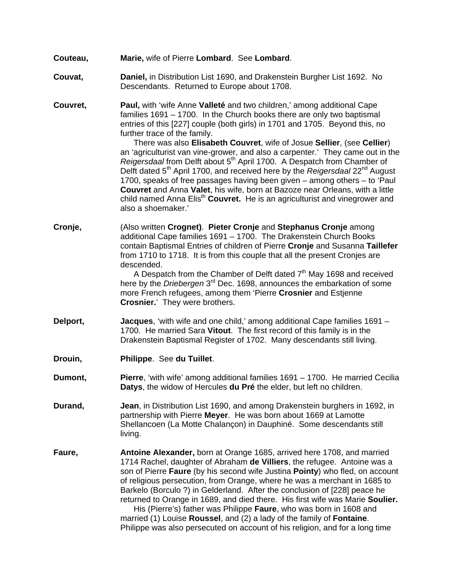- **Couteau, Marie,** wife of Pierre **Lombard**. See **Lombard**.
- **Couvat, Daniel,** in Distribution List 1690, and Drakenstein Burgher List 1692. No Descendants. Returned to Europe about 1708.
- **Couvret, Paul,** with 'wife Anne **Valleté** and two children,' among additional Cape families 1691 – 1700. In the Church books there are only two baptismal entries of this [227] couple (both girls) in 1701 and 1705. Beyond this, no further trace of the family.

 There was also **Elisabeth Couvret**, wife of Josue **Sellier**, (see **Cellier**) an 'agriculturist van vine-grower, and also a carpenter.' They came out in the *Reigersdaal* from Delft about 5th April 1700. A Despatch from Chamber of Delft dated 5th April 1700, and received here by the *Reigersdaal* 22nd August 1700, speaks of free passages having been given – among others – to 'Paul **Couvret** and Anna **Valet**, his wife, born at Bazoze near Orleans, with a little child named Anna Elisth **Couvret.** He is an agriculturist and vinegrower and also a shoemaker.'

**Cronje,** (Also written **Crognet)**. **Pieter Cronje** and **Stephanus Cronje** among additional Cape families 1691 – 1700. The Drakenstein Church Books contain Baptismal Entries of children of Pierre **Cronje** and Susanna **Taillefer** from 1710 to 1718. It is from this couple that all the present Cronjes are descended.

A Despatch from the Chamber of Delft dated  $7<sup>th</sup>$  May 1698 and received here by the *Driebergen* 3rd Dec. 1698, announces the embarkation of some more French refugees, among them 'Pierre **Crosnier** and Estjenne **Crosnier.**' They were brothers.

- **Delport, Jacques**, 'with wife and one child,' among additional Cape families 1691 1700. He married Sara **Vitout**. The first record of this family is in the Drakenstein Baptismal Register of 1702. Many descendants still living.
- **Drouin, Philippe**. See **du Tuillet**.
- **Dumont, Pierre**, 'with wife' among additional families 1691 1700. He married Cecilia **Datys**, the widow of Hercules **du Pré** the elder, but left no children.
- **Durand, Jean**, in Distribution List 1690, and among Drakenstein burghers in 1692, in partnership with Pierre **Meyer**. He was born about 1669 at Lamotte Shellancoen (La Motte Chalançon) in Dauphiné. Some descendants still living.
- **Faure, Antoine Alexander,** born at Orange 1685, arrived here 1708, and married 1714 Rachel, daughter of Abraham **de Villiers**, the refugee. Antoine was a son of Pierre **Faure** (by his second wife Justina **Pointy**) who fled, on account of religious persecution, from Orange, where he was a merchant in 1685 to Barkelo (Borculo ?) in Gelderland. After the conclusion of [228] peace he returned to Orange in 1689, and died there. His first wife was Marie **Soulier.**

 His (Pierre's) father was Philippe **Faure**, who was born in 1608 and married (1) Louise **Roussel**, and (2) a lady of the family of **Fontaine**. Philippe was also persecuted on account of his religion, and for a long time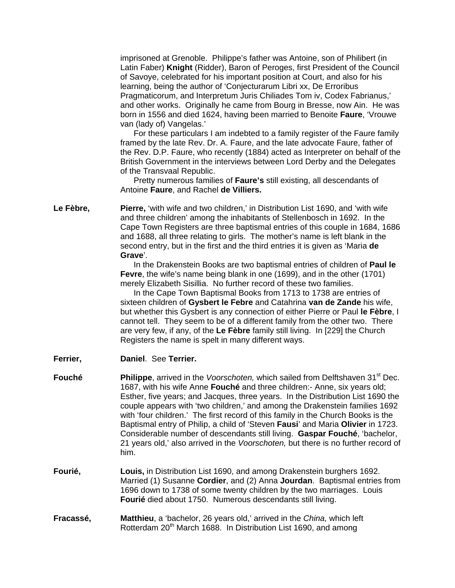imprisoned at Grenoble. Philippe's father was Antoine, son of Philibert (in Latin Faber) **Knight** (Ridder), Baron of Peroges, first President of the Council of Savoye, celebrated for his important position at Court, and also for his learning, being the author of 'Conjecturarum Libri xx, De Erroribus Pragmaticorum, and Interpretum Juris Chiliades Tom iv, Codex Fabrianus,' and other works. Originally he came from Bourg in Bresse, now Ain. He was born in 1556 and died 1624, having been married to Benoite **Faure**, 'Vrouwe van (lady of) Vangelas.'

 For these particulars I am indebted to a family register of the Faure family framed by the late Rev. Dr. A. Faure, and the late advocate Faure, father of the Rev. D.P. Faure, who recently (1884) acted as Interpreter on behalf of the British Government in the interviews between Lord Derby and the Delegates of the Transvaal Republic.

 Pretty numerous families of **Faure's** still existing, all descendants of Antoine **Faure**, and Rachel **de Villiers.**

Le Fèbre, **Pierre,** 'with wife and two children,' in Distribution List 1690, and 'with wife and three children' among the inhabitants of Stellenbosch in 1692. In the Cape Town Registers are three baptismal entries of this couple in 1684, 1686 and 1688, all three relating to girls. The mother's name is left blank in the second entry, but in the first and the third entries it is given as 'Maria **de Grave**'.

> In the Drakenstein Books are two baptismal entries of children of **Paul le Fevre**, the wife's name being blank in one (1699), and in the other (1701) merely Elizabeth Sisillia. No further record of these two families.

> In the Cape Town Baptismal Books from 1713 to 1738 are entries of sixteen children of **Gysbert le Febre** and Catahrina **van de Zande** his wife, but whether this Gysbert is any connection of either Pierre or Paul **le Fèbre**, I cannot tell. They seem to be of a different family from the other two. There are very few, if any, of the **Le Fèbre** family still living. In [229] the Church Registers the name is spelt in many different ways.

- **Ferrier, Daniel**. See **Terrier.**
- **Fouché** Philippe, arrived in the *Voorschoten*, which sailed from Delftshaven 31<sup>st</sup> Dec. 1687, with his wife Anne **Fouché** and three children:- Anne, six years old; Esther, five years; and Jacques, three years. In the Distribution List 1690 the couple appears with 'two children,' and among the Drakenstein families 1692 with 'four children.' The first record of this family in the Church Books is the Baptismal entry of Philip, a child of 'Steven **Fausi**' and Maria **Olivier** in 1723. Considerable number of descendants still living. **Gaspar Fouché**, 'bachelor, 21 years old,' also arrived in the *Voorschoten,* but there is no further record of him.
- **Fourié, Louis,** in Distribution List 1690, and among Drakenstein burghers 1692. Married (1) Susanne **Cordier**, and (2) Anna **Jourdan**. Baptismal entries from 1696 down to 1738 of some twenty children by the two marriages. Louis **Fourié** died about 1750. Numerous descendants still living.
- **Fracassé, Matthieu**, a 'bachelor, 26 years old,' arrived in the *China,* which left Rotterdam 20<sup>th</sup> March 1688. In Distribution List 1690, and among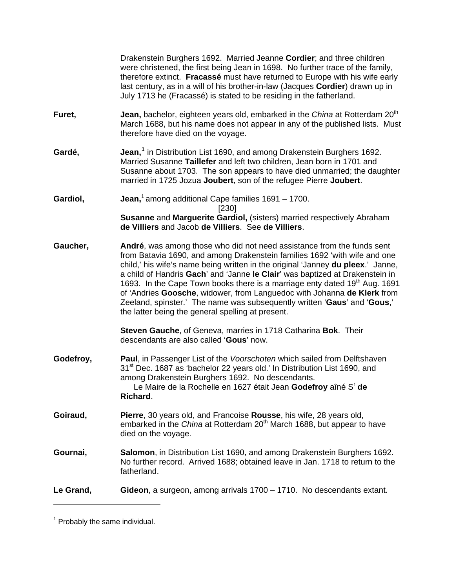| Le Grand, | Gideon, a surgeon, among arrivals 1700 – 1710. No descendants extant.                                                                                                                                                                                                                                                                                                                                                                                                                                                                                                                                                                                                                                                                     |
|-----------|-------------------------------------------------------------------------------------------------------------------------------------------------------------------------------------------------------------------------------------------------------------------------------------------------------------------------------------------------------------------------------------------------------------------------------------------------------------------------------------------------------------------------------------------------------------------------------------------------------------------------------------------------------------------------------------------------------------------------------------------|
| Gournai,  | Salomon, in Distribution List 1690, and among Drakenstein Burghers 1692.<br>No further record. Arrived 1688; obtained leave in Jan. 1718 to return to the<br>fatherland.                                                                                                                                                                                                                                                                                                                                                                                                                                                                                                                                                                  |
| Goiraud,  | Pierre, 30 years old, and Francoise Rousse, his wife, 28 years old,<br>embarked in the China at Rotterdam 20 <sup>th</sup> March 1688, but appear to have<br>died on the voyage.                                                                                                                                                                                                                                                                                                                                                                                                                                                                                                                                                          |
| Godefroy, | Paul, in Passenger List of the Voorschoten which sailed from Delftshaven<br>31 <sup>st</sup> Dec. 1687 as 'bachelor 22 years old.' In Distribution List 1690, and<br>among Drakenstein Burghers 1692. No descendants.<br>Le Maire de la Rochelle en 1627 était Jean Godefroy aîné S' de<br>Richard.                                                                                                                                                                                                                                                                                                                                                                                                                                       |
| Gaucher,  | André, was among those who did not need assistance from the funds sent<br>from Batavia 1690, and among Drakenstein families 1692 'with wife and one<br>child,' his wife's name being written in the original 'Janney du pleex.' Janne,<br>a child of Handris Gach' and 'Janne le Clair' was baptized at Drakenstein in<br>1693. In the Cape Town books there is a marriage enty dated 19 <sup>th</sup> Aug. 1691<br>of 'Andries Goosche, widower, from Languedoc with Johanna de Klerk from<br>Zeeland, spinster.' The name was subsequently written 'Gaus' and 'Gous,'<br>the latter being the general spelling at present.<br>Steven Gauche, of Geneva, marries in 1718 Catharina Bok. Their<br>descendants are also called 'Gous' now. |
| Gardiol,  | Jean, $1$ among additional Cape families $1691 - 1700$ .<br>$[230]$<br>Susanne and Marguerite Gardiol, (sisters) married respectively Abraham<br>de Villiers and Jacob de Villiers. See de Villiers.                                                                                                                                                                                                                                                                                                                                                                                                                                                                                                                                      |
| Gardé,    | <b>Jean,<sup>1</sup></b> in Distribution List 1690, and among Drakenstein Burghers 1692.<br>Married Susanne Taillefer and left two children, Jean born in 1701 and<br>Susanne about 1703. The son appears to have died unmarried; the daughter<br>married in 1725 Jozua Joubert, son of the refugee Pierre Joubert.                                                                                                                                                                                                                                                                                                                                                                                                                       |
| Furet,    | Jean, bachelor, eighteen years old, embarked in the China at Rotterdam 20 <sup>th</sup><br>March 1688, but his name does not appear in any of the published lists. Must<br>therefore have died on the voyage.                                                                                                                                                                                                                                                                                                                                                                                                                                                                                                                             |
|           | Drakenstein Burghers 1692. Married Jeanne Cordier; and three children<br>were christened, the first being Jean in 1698. No further trace of the family,<br>therefore extinct. Fracassé must have returned to Europe with his wife early<br>last century, as in a will of his brother-in-law (Jacques Cordier) drawn up in<br>July 1713 he (Fracassé) is stated to be residing in the fatherland.                                                                                                                                                                                                                                                                                                                                          |

<span id="page-18-0"></span> $<sup>1</sup>$  Probably the same individual.</sup>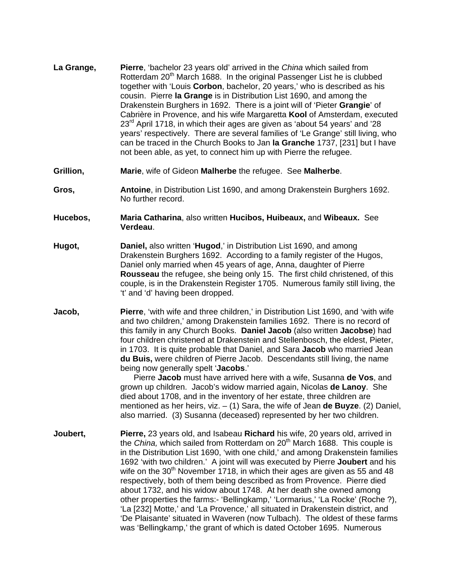- **La Grange, Pierre**, 'bachelor 23 years old' arrived in the *China* which sailed from Rotterdam 20<sup>th</sup> March 1688. In the original Passenger List he is clubbed together with 'Louis **Corbon**, bachelor, 20 years,' who is described as his cousin. Pierre **la Grange** is in Distribution List 1690, and among the Drakenstein Burghers in 1692. There is a joint will of 'Pieter **Grangie**' of Cabrière in Provence, and his wife Margaretta **Kool** of Amsterdam, executed  $23<sup>rd</sup>$  April 1718, in which their ages are given as 'about 54 years' and '28 years' respectively. There are several families of 'Le Grange' still living, who can be traced in the Church Books to Jan **la Granche** 1737, [231] but I have not been able, as yet, to connect him up with Pierre the refugee.
- **Grillion, Marie**, wife of Gideon **Malherbe** the refugee. See **Malherbe**.
- **Gros, Antoine**, in Distribution List 1690, and among Drakenstein Burghers 1692. No further record.
- **Hucebos, Maria Catharina**, also written **Hucibos, Huibeaux,** and **Wibeaux.** See **Verdeau**.
- **Hugot, Daniel,** also written '**Hugod**,' in Distribution List 1690, and among Drakenstein Burghers 1692. According to a family register of the Hugos, Daniel only married when 45 years of age, Anna, daughter of Pierre **Rousseau** the refugee, she being only 15. The first child christened, of this couple, is in the Drakenstein Register 1705. Numerous family still living, the 't' and 'd' having been dropped.
- **Jacob, Pierre**, 'with wife and three children,' in Distribution List 1690, and 'with wife and two children,' among Drakenstein families 1692. There is no record of this family in any Church Books. **Daniel Jacob** (also written **Jacobse**) had four children christened at Drakenstein and Stellenbosch, the eldest, Pieter, in 1703. It is quite probable that Daniel, and Sara **Jacob** who married Jean **du Buis,** were children of Pierre Jacob. Descendants still living, the name being now generally spelt '**Jacobs**.'

 Pierre **Jacob** must have arrived here with a wife, Susanna **de Vos**, and grown up children. Jacob's widow married again, Nicolas **de Lanoy**. She died about 1708, and in the inventory of her estate, three children are mentioned as her heirs, viz. – (1) Sara, the wife of Jean **de Buyze**. (2) Daniel, also married. (3) Susanna (deceased) represented by her two children.

**Joubert, Pierre,** 23 years old, and Isabeau **Richard** his wife, 20 years old, arrived in the *China*, which sailed from Rotterdam on 20<sup>th</sup> March 1688. This couple is in the Distribution List 1690, 'with one child,' and among Drakenstein families 1692 'with two children.' A joint will was executed by Pierre **Joubert** and his wife on the  $30<sup>th</sup>$  November 1718, in which their ages are given as 55 and 48 respectively, both of them being described as from Provence. Pierre died about 1732, and his widow about 1748. At her death she owned among other properties the farms:- 'Bellingkamp,' 'Lormarius,' 'La Rocke' (Roche ?), 'La [232] Motte,' and 'La Provence,' all situated in Drakenstein district, and 'De Plaisante' situated in Waveren (now Tulbach). The oldest of these farms was 'Bellingkamp,' the grant of which is dated October 1695. Numerous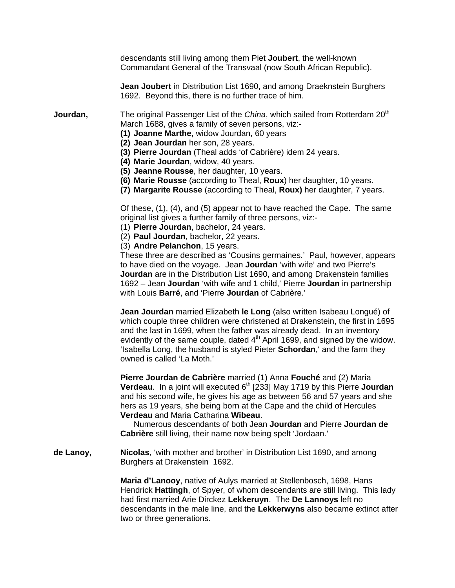descendants still living among them Piet **Joubert**, the well-known Commandant General of the Transvaal (now South African Republic).

**Jean Joubert** in Distribution List 1690, and among Draeknstein Burghers 1692. Beyond this, there is no further trace of him.

**Jourdan,** The original Passenger List of the *China*, which sailed from Rotterdam 20<sup>th</sup> March 1688, gives a family of seven persons, viz:-

- **(1) Joanne Marthe,** widow Jourdan, 60 years
- **(2) Jean Jourdan** her son, 28 years.
- **(3) Pierre Jourdan** (Theal adds 'of Cabrière) idem 24 years.
- **(4) Marie Jourdan**, widow, 40 years.
- **(5) Jeanne Rousse**, her daughter, 10 years.
- **(6) Marie Rousse** (according to Theal, **Roux**) her daughter, 10 years.
- **(7) Margarite Rousse** (according to Theal, **Roux)** her daughter, 7 years.

Of these, (1), (4), and (5) appear not to have reached the Cape. The same original list gives a further family of three persons, viz:-

- (1) **Pierre Jourdan**, bachelor, 24 years.
- (2) **Paul Jourdan**, bachelor, 22 years.
- (3) **Andre Pelanchon**, 15 years.

These three are described as 'Cousins germaines.' Paul, however, appears to have died on the voyage. Jean **Jourdan** 'with wife' and two Pierre's **Jourdan** are in the Distribution List 1690, and among Drakenstein families 1692 – Jean **Jourdan** 'with wife and 1 child,' Pierre **Jourdan** in partnership with Louis **Barré**, and 'Pierre **Jourdan** of Cabrière.'

**Jean Jourdan** married Elizabeth **le Long** (also written Isabeau Longué) of which couple three children were christened at Drakenstein, the first in 1695 and the last in 1699, when the father was already dead. In an inventory evidently of the same couple, dated  $4<sup>th</sup>$  April 1699, and signed by the widow. 'Isabella Long, the husband is styled Pieter **Schordan**,' and the farm they owned is called 'La Moth.'

**Pierre Jourdan de Cabrière** married (1) Anna **Fouché** and (2) Maria **Verdeau.** In a joint will executed 6<sup>th</sup> [233] May 1719 by this Pierre **Jourdan** and his second wife, he gives his age as between 56 and 57 years and she hers as 19 years, she being born at the Cape and the child of Hercules **Verdeau** and Maria Catharina **Wibeau**.

 Numerous descendants of both Jean **Jourdan** and Pierre **Jourdan de Cabrière** still living, their name now being spelt 'Jordaan.'

**de Lanoy, Nicolas**, 'with mother and brother' in Distribution List 1690, and among Burghers at Drakenstein 1692.

> **Maria d'Lanooy**, native of Aulys married at Stellenbosch, 1698, Hans Hendrick **Hattingh**, of Spyer, of whom descendants are still living. This lady had first married Arie Dirckez **Lekkeruyn**. The **De Lannoys** left no descendants in the male line, and the **Lekkerwyns** also became extinct after two or three generations.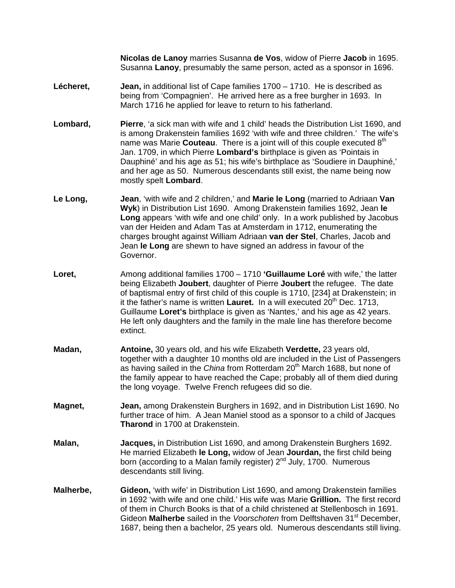**Nicolas de Lanoy** marries Susanna **de Vos**, widow of Pierre **Jacob** in 1695. Susanna **Lanoy**, presumably the same person, acted as a sponsor in 1696.

- **Lécheret, Jean,** in additional list of Cape families 1700 1710. He is described as being from 'Compagnien'. He arrived here as a free burgher in 1693. In March 1716 he applied for leave to return to his fatherland.
- **Lombard, Pierre**, 'a sick man with wife and 1 child' heads the Distribution List 1690, and is among Drakenstein families 1692 'with wife and three children.' The wife's name was Marie **Couteau**. There is a joint will of this couple executed 8<sup>th</sup> Jan. 1709, in which Pierre **Lombard's** birthplace is given as 'Pointais in Dauphiné' and his age as 51; his wife's birthplace as 'Soudiere in Dauphiné,' and her age as 50. Numerous descendants still exist, the name being now mostly spelt **Lombard**.
- **Le Long, Jean**, 'with wife and 2 children,' and **Marie le Long** (married to Adriaan **Van Wyk**) in Distribution List 1690. Among Drakenstein families 1692, Jean **le Long** appears 'with wife and one child' only. In a work published by Jacobus van der Heiden and Adam Tas at Amsterdam in 1712, enumerating the charges brought against William Adriaan **van der Stel**, Charles, Jacob and Jean **le Long** are shewn to have signed an address in favour of the Governor.
- **Loret,** Among additional families 1700 1710 **'Guillaume Loré** with wife,' the latter being Elizabeth **Joubert**, daughter of Pierre **Joubert** the refugee. The date of baptismal entry of first child of this couple is 1710, [234] at Drakenstein; in it the father's name is written **Lauret.** In a will executed 20<sup>th</sup> Dec. 1713, Guillaume **Loret's** birthplace is given as 'Nantes,' and his age as 42 years. He left only daughters and the family in the male line has therefore become extinct.
- **Madan, Antoine,** 30 years old, and his wife Elizabeth **Verdette,** 23 years old, together with a daughter 10 months old are included in the List of Passengers as having sailed in the *China* from Rotterdam 20<sup>th</sup> March 1688, but none of the family appear to have reached the Cape; probably all of them died during the long voyage. Twelve French refugees did so die.
- **Magnet, Jean,** among Drakenstein Burghers in 1692, and in Distribution List 1690. No further trace of him. A Jean Maniel stood as a sponsor to a child of Jacques **Tharond** in 1700 at Drakenstein.
- **Malan, Jacques,** in Distribution List 1690, and among Drakenstein Burghers 1692. He married Elizabeth **le Long,** widow of Jean **Jourdan,** the first child being born (according to a Malan family register) 2<sup>nd</sup> July, 1700. Numerous descendants still living.
- **Malherbe, Gideon,** 'with wife' in Distribution List 1690, and among Drakenstein families in 1692 'with wife and one child.' His wife was Marie **Grillion.** The first record of them in Church Books is that of a child christened at Stellenbosch in 1691. Gideon **Malherbe** sailed in the *Voorschoten* from Delftshaven 31st December, 1687, being then a bachelor, 25 years old. Numerous descendants still living.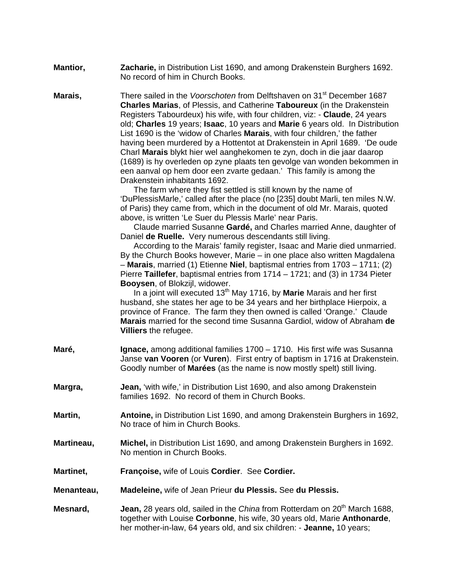| <b>Mantior,</b> | Zacharie, in Distribution List 1690, and among Drakenstein Burghers 1692. |
|-----------------|---------------------------------------------------------------------------|
|                 | No record of him in Church Books.                                         |

**Marais. There sailed in the** *Voorschoten* **from Delftshaven on 31<sup>st</sup> December 1687 Charles Marias**, of Plessis, and Catherine **Taboureux** (in the Drakenstein Registers Tabourdeux) his wife, with four children, viz: - **Claude**, 24 years old; **Charles** 19 years; **Isaac**, 10 years and **Marie** 6 years old. In Distribution List 1690 is the 'widow of Charles **Marais**, with four children,' the father having been murdered by a Hottentot at Drakenstein in April 1689. 'De oude Charl **Marais** blykt hier wel aanghekomen te zyn, doch in die jaar daarop (1689) is hy overleden op zyne plaats ten gevolge van wonden bekommen in een aanval op hem door een zvarte gedaan.' This family is among the Drakenstein inhabitants 1692.

> The farm where they fist settled is still known by the name of 'DuPlessisMarle,' called after the place (no [235] doubt Marli, ten miles N.W. of Paris) they came from, which in the document of old Mr. Marais, quoted above, is written 'Le Suer du Plessis Marle' near Paris.

> Claude married Susanne **Gardé,** and Charles married Anne, daughter of Daniel **de Ruelle.** Very numerous descendants still living.

> According to the Marais' family register, Isaac and Marie died unmarried. By the Church Books however, Marie – in one place also written Magdalena – **Marais**, married (1) Etienne **Niel**, baptismal entries from 1703 – 1711; (2) Pierre **Taillefer**, baptismal entries from 1714 – 1721; and (3) in 1734 Pieter **Booysen**, of Blokzijl, widower.

> In a joint will executed 13<sup>th</sup> May 1716, by Marie Marais and her first husband, she states her age to be 34 years and her birthplace Hierpoix, a province of France. The farm they then owned is called 'Orange.' Claude **Marais** married for the second time Susanna Gardiol, widow of Abraham **de Villiers** the refugee.

- **Maré, Ignace, among additional families 1700 1710. His first wife was Susanna** Janse **van Vooren** (or **Vuren**). First entry of baptism in 1716 at Drakenstein. Goodly number of **Marées** (as the name is now mostly spelt) still living.
- **Margra, Jean,** 'with wife,' in Distribution List 1690, and also among Drakenstein families 1692. No record of them in Church Books.
- **Martin, Antoine,** in Distribution List 1690, and among Drakenstein Burghers in 1692, No trace of him in Church Books.
- **Martineau, Michel,** in Distribution List 1690, and among Drakenstein Burghers in 1692. No mention in Church Books.
- **Martinet, Françoise,** wife of Louis **Cordier**. See **Cordier.**
- **Menanteau, Madeleine,** wife of Jean Prieur **du Plessis.** See **du Plessis.**
- **Mesnard, Jean, 28 years old, sailed in the** *China* **from Rotterdam on 20<sup>th</sup> March 1688,** together with Louise **Corbonne**, his wife, 30 years old, Marie **Anthonarde**, her mother-in-law, 64 years old, and six children: - **Jeanne,** 10 years;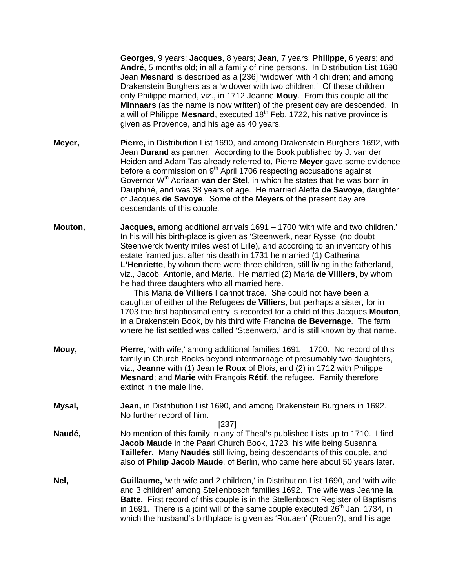**Georges**, 9 years; **Jacques**, 8 years; **Jean**, 7 years; **Philippe**, 6 years; and **André**, 5 months old; in all a family of nine persons. In Distribution List 1690 Jean **Mesnard** is described as a [236] 'widower' with 4 children; and among Drakenstein Burghers as a 'widower with two children.' Of these children only Philippe married, viz., in 1712 Jeanne **Mouy**. From this couple all the **Minnaars** (as the name is now written) of the present day are descended. In a will of Philippe **Mesnard**, executed 18<sup>th</sup> Feb. 1722, his native province is given as Provence, and his age as 40 years.

- **Meyer, Pierre,** in Distribution List 1690, and among Drakenstein Burghers 1692, with Jean **Durand** as partner. According to the Book published by J. van der Heiden and Adam Tas already referred to, Pierre **Meyer** gave some evidence before a commission on  $9<sup>th</sup>$  April 1706 respecting accusations against Governor Wm Adriaan **van der Stel**, in which he states that he was born in Dauphiné, and was 38 years of age. He married Aletta **de Savoye**, daughter of Jacques **de Savoye**. Some of the **Meyers** of the present day are descendants of this couple.
- **Mouton, Jacques,** among additional arrivals 1691 1700 'with wife and two children.' In his will his birth-place is given as 'Steenwerk, near Ryssel (no doubt Steenwerck twenty miles west of Lille), and according to an inventory of his estate framed just after his death in 1731 he married (1) Catherina **L'Henriette**, by whom there were three children, still living in the fatherland, viz., Jacob, Antonie, and Maria. He married (2) Maria **de Villiers**, by whom he had three daughters who all married here.

 This Maria **de Villiers** I cannot trace. She could not have been a daughter of either of the Refugees **de Villiers**, but perhaps a sister, for in 1703 the first baptiosmal entry is recorded for a child of this Jacques **Mouton**, in a Drakenstein Book, by his third wife Francina **de Bevernage**. The farm where he fist settled was called 'Steenwerp,' and is still known by that name.

- **Mouy, Pierre,** 'with wife,' among additional families 1691 1700. No record of this family in Church Books beyond intermarriage of presumably two daughters, viz., **Jeanne** with (1) Jean **le Roux** of Blois, and (2) in 1712 with Philippe **Mesnard**; and **Marie** with François **Rétif**, the refugee. Family therefore extinct in the male line.
- **Mysal, Jean,** in Distribution List 1690, and among Drakenstein Burghers in 1692. No further record of him.

[237]

- **Naudé,** No mention of this family in any of Theal's published Lists up to 1710. I find **Jacob Maude** in the Paarl Church Book, 1723, his wife being Susanna **Taillefer.** Many **Naudés** still living, being descendants of this couple, and also of **Philip Jacob Maude**, of Berlin, who came here about 50 years later.
- **Nel, Guillaume,** 'with wife and 2 children,' in Distribution List 1690, and 'with wife and 3 children' among Stellenbosch families 1692. The wife was Jeanne **la Batte.** First record of this couple is in the Stellenbosch Register of Baptisms in 1691. There is a joint will of the same couple executed  $26<sup>th</sup>$  Jan. 1734, in which the husband's birthplace is given as 'Rouaen' (Rouen?), and his age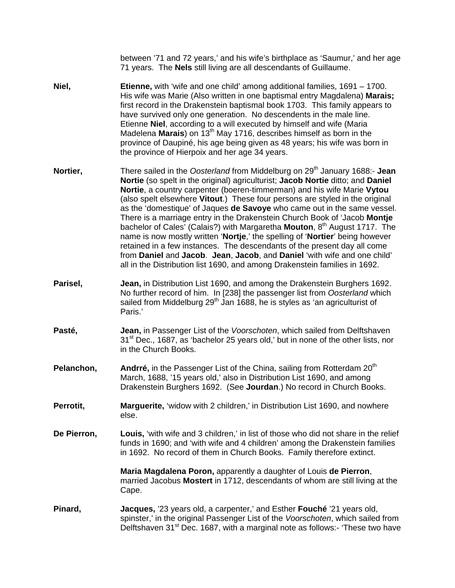between '71 and 72 years,' and his wife's birthplace as 'Saumur,' and her age 71 years. The **Nels** still living are all descendants of Guillaume.

- **Niel, Etienne,** with 'wife and one child' among additional families, 1691 1700. His wife was Marie (Also written in one baptismal entry Magdalena) **Marais;** first record in the Drakenstein baptismal book 1703. This family appears to have survived only one generation. No descendents in the male line. Etienne **Niel**, according to a will executed by himself and wife (Maria Madelena **Marais**) on 13th May 1716, describes himself as born in the province of Daupiné, his age being given as 48 years; his wife was born in the province of Hierpoix and her age 34 years.
- **Nortier,** There sailed in the *Oosterland* from Middelburg on 29<sup>th</sup> January 1688:- **Jean Nortie** (so spelt in the original) agriculturist; **Jacob Nortie** ditto; and **Daniel Nortie**, a country carpenter (boeren-timmerman) and his wife Marie **Vytou** (also spelt elsewhere **Vitout**.) These four persons are styled in the original as the 'domestique' of Jaques **de Savoye** who came out in the same vessel. There is a marriage entry in the Drakenstein Church Book of 'Jacob **Montje** bachelor of Cales' (Calais?) with Margaretha **Mouton**, 8<sup>th</sup> August 1717. The name is now mostly written '**Nortje**,' the spelling of '**Nortier**' being however retained in a few instances. The descendants of the present day all come from **Daniel** and **Jacob**. **Jean**, **Jacob**, and **Daniel** 'with wife and one child' all in the Distribution list 1690, and among Drakenstein families in 1692.
- **Parisel, Jean,** in Distribution List 1690, and among the Drakenstein Burghers 1692. No further record of him. In [238] the passenger list from *Oosterland* which sailed from Middelburg 29<sup>th</sup> Jan 1688, he is styles as 'an agriculturist of Paris.'
- **Pasté, Jean,** in Passenger List of the *Voorschoten*, which sailed from Delftshaven 31<sup>st</sup> Dec., 1687, as 'bachelor 25 years old,' but in none of the other lists, nor in the Church Books.
- **Pelanchon, Andrré, in the Passenger List of the China, sailing from Rotterdam 20<sup>th</sup>** March, 1688, '15 years old,' also in Distribution List 1690, and among Drakenstein Burghers 1692. (See **Jourdan**.) No record in Church Books.
- **Perrotit, Marguerite, 'widow with 2 children,' in Distribution List 1690, and nowhere** else.
- **De Pierron, Louis,** 'with wife and 3 children,' in list of those who did not share in the relief funds in 1690; and 'with wife and 4 children' among the Drakenstein families in 1692. No record of them in Church Books. Family therefore extinct.

**Maria Magdalena Poron,** apparently a daughter of Louis **de Pierron**, married Jacobus **Mostert** in 1712, descendants of whom are still living at the Cape.

**Pinard, Jacques,** '23 years old, a carpenter,' and Esther **Fouché** '21 years old, spinster,' in the original Passenger List of the *Voorschoten*, which sailed from Delftshaven 31<sup>st</sup> Dec. 1687, with a marginal note as follows:- 'These two have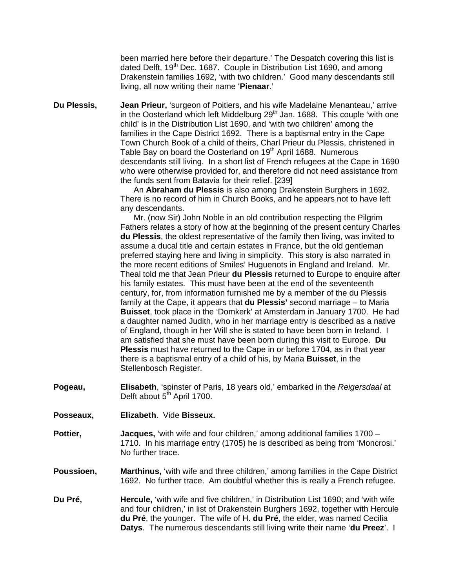been married here before their departure.' The Despatch covering this list is dated Delft, 19<sup>th</sup> Dec. 1687. Couple in Distribution List 1690, and among Drakenstein families 1692, 'with two children.' Good many descendants still living, all now writing their name '**Pienaar**.'

**Du Plessis, Jean Prieur,** 'surgeon of Poitiers, and his wife Madelaine Menanteau,' arrive in the Oosterland which left Middelburg  $29<sup>th</sup>$  Jan. 1688. This couple 'with one child' is in the Distribution List 1690, and 'with two children' among the families in the Cape District 1692. There is a baptismal entry in the Cape Town Church Book of a child of theirs, Charl Prieur du Plessis, christened in Table Bay on board the Oosterland on 19<sup>th</sup> April 1688. Numerous descendants still living. In a short list of French refugees at the Cape in 1690 who were otherwise provided for, and therefore did not need assistance from the funds sent from Batavia for their relief. [239]

> An **Abraham du Plessis** is also among Drakenstein Burghers in 1692. There is no record of him in Church Books, and he appears not to have left any descendants.

 Mr. (now Sir) John Noble in an old contribution respecting the Pilgrim Fathers relates a story of how at the beginning of the present century Charles **du Plessis**, the oldest representative of the family then living, was invited to assume a ducal title and certain estates in France, but the old gentleman preferred staying here and living in simplicity. This story is also narrated in the more recent editions of Smiles' Huguenots in England and Ireland. Mr. Theal told me that Jean Prieur **du Plessis** returned to Europe to enquire after his family estates. This must have been at the end of the seventeenth century, for, from information furnished me by a member of the du Plessis family at the Cape, it appears that **du Plessis'** second marriage – to Maria **Buisset**, took place in the 'Domkerk' at Amsterdam in January 1700. He had a daughter named Judith, who in her marriage entry is described as a native of England, though in her Will she is stated to have been born in Ireland. I am satisfied that she must have been born during this visit to Europe. **Du Plessis** must have returned to the Cape in or before 1704, as in that year there is a baptismal entry of a child of his, by Maria **Buisset**, in the Stellenbosch Register.

- **Pogeau, Elisabeth**, 'spinster of Paris, 18 years old,' embarked in the *Reigersdaal* at Delft about 5<sup>th</sup> April 1700.
- **Posseaux, Elizabeth**. Vide **Bisseux.**
- **Pottier, Jacques,** 'with wife and four children,' among additional families 1700 1710. In his marriage entry (1705) he is described as being from 'Moncrosi.' No further trace.
- **Poussioen, Marthinus,** 'with wife and three children,' among families in the Cape District 1692. No further trace. Am doubtful whether this is really a French refugee.
- **Du Pré, Hercule,** 'with wife and five children,' in Distribution List 1690; and 'with wife and four children,' in list of Drakenstein Burghers 1692, together with Hercule **du Pré**, the younger. The wife of H. **du Pré**, the elder, was named Cecilia **Datys**. The numerous descendants still living write their name '**du Preez**'. I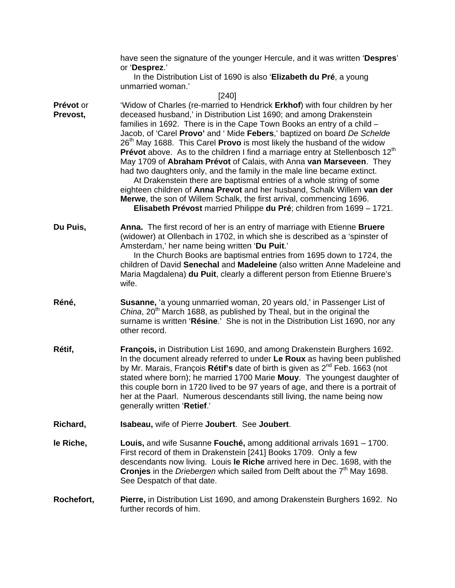|                       | have seen the signature of the younger Hercule, and it was written 'Despres'<br>or 'Desprez.'                                                                                                                                                                                                                                                                                                                                                                                                                                                                                                                                                                                                                                                                                                                                                                                                                                                                      |
|-----------------------|--------------------------------------------------------------------------------------------------------------------------------------------------------------------------------------------------------------------------------------------------------------------------------------------------------------------------------------------------------------------------------------------------------------------------------------------------------------------------------------------------------------------------------------------------------------------------------------------------------------------------------------------------------------------------------------------------------------------------------------------------------------------------------------------------------------------------------------------------------------------------------------------------------------------------------------------------------------------|
|                       | In the Distribution List of 1690 is also 'Elizabeth du Pré, a young<br>unmarried woman.'                                                                                                                                                                                                                                                                                                                                                                                                                                                                                                                                                                                                                                                                                                                                                                                                                                                                           |
| Prévot or<br>Prevost, | $[240]$<br>'Widow of Charles (re-married to Hendrick Erkhof) with four children by her<br>deceased husband,' in Distribution List 1690; and among Drakenstein<br>families in 1692. There is in the Cape Town Books an entry of a child -<br>Jacob, of 'Carel Provo' and ' Mide Febers,' baptized on board De Schelde<br>26 <sup>th</sup> May 1688. This Carel <b>Provo</b> is most likely the husband of the widow<br><b>Prévot</b> above. As to the children I find a marriage entry at Stellenbosch $12th$<br>May 1709 of Abraham Prévot of Calais, with Anna van Marseveen. They<br>had two daughters only, and the family in the male line became extinct.<br>At Drakenstein there are baptismal entries of a whole string of some<br>eighteen children of Anna Prevot and her husband, Schalk Willem van der<br>Merwe, the son of Willem Schalk, the first arrival, commencing 1696.<br>Elisabeth Prévost married Philippe du Pré; children from 1699 - 1721. |
| Du Puis,              | Anna. The first record of her is an entry of marriage with Etienne Bruere<br>(widower) at Ollenbach in 1702, in which she is described as a 'spinster of<br>Amsterdam,' her name being written 'Du Puit.'<br>In the Church Books are baptismal entries from 1695 down to 1724, the<br>children of David Senechal and Madeleine (also written Anne Madeleine and<br>Maria Magdalena) du Puit, clearly a different person from Etienne Bruere's<br>wife.                                                                                                                                                                                                                                                                                                                                                                                                                                                                                                             |
| Réné,                 | Susanne, 'a young unmarried woman, 20 years old,' in Passenger List of<br>China, 20 <sup>th</sup> March 1688, as published by Theal, but in the original the<br>surname is written 'Résine.' She is not in the Distribution List 1690, nor any<br>other record.                                                                                                                                                                                                                                                                                                                                                                                                                                                                                                                                                                                                                                                                                                    |
| Rétif,                | François, in Distribution List 1690, and among Drakenstein Burghers 1692.<br>In the document already referred to under Le Roux as having been published<br>by Mr. Marais, François Rétif's date of birth is given as 2 <sup>nd</sup> Feb. 1663 (not<br>stated where born); he married 1700 Marie Mouy. The youngest daughter of<br>this couple born in 1720 lived to be 97 years of age, and there is a portrait of<br>her at the Paarl. Numerous descendants still living, the name being now<br>generally written 'Retief.'                                                                                                                                                                                                                                                                                                                                                                                                                                      |
| Richard,              | <b>Isabeau, wife of Pierre Joubert. See Joubert.</b>                                                                                                                                                                                                                                                                                                                                                                                                                                                                                                                                                                                                                                                                                                                                                                                                                                                                                                               |
| le Riche,             | Louis, and wife Susanne Fouché, among additional arrivals 1691 – 1700.<br>First record of them in Drakenstein [241] Books 1709. Only a few<br>descendants now living. Louis le Riche arrived here in Dec. 1698, with the<br>Cronjes in the Driebergen which sailed from Delft about the 7 <sup>th</sup> May 1698.<br>See Despatch of that date.                                                                                                                                                                                                                                                                                                                                                                                                                                                                                                                                                                                                                    |
| Rochefort,            | Pierre, in Distribution List 1690, and among Drakenstein Burghers 1692. No<br>further records of him.                                                                                                                                                                                                                                                                                                                                                                                                                                                                                                                                                                                                                                                                                                                                                                                                                                                              |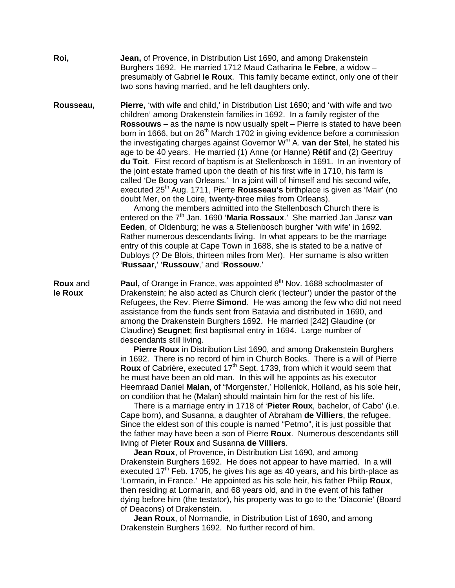**Roi, Jean,** of Provence, in Distribution List 1690, and among Drakenstein Burghers 1692. He married 1712 Maud Catharina **le Febre**, a widow – presumably of Gabriel **le Roux**. This family became extinct, only one of their two sons having married, and he left daughters only.

**Rousseau, Pierre,** 'with wife and child,' in Distribution List 1690; and 'with wife and two children' among Drakenstein families in 1692. In a family register of the **Rossouws** – as the name is now usually spelt – Pierre is stated to have been born in 1666, but on 26<sup>th</sup> March 1702 in giving evidence before a commission the investigating charges against Governor Wm A. **van der Stel**, he stated his age to be 40 years. He married (1) Anne (or Hanne) **Rétif** and (2) Geertruy **du Toit**. First record of baptism is at Stellenbosch in 1691. In an inventory of the joint estate framed upon the death of his first wife in 1710, his farm is called 'De Boog van Orleans.' In a joint will of himself and his second wife, executed 25th Aug. 1711, Pierre **Rousseau's** birthplace is given as 'Mair' (no doubt Mer, on the Loire, twenty-three miles from Orleans).

 Among the members admitted into the Stellenbosch Church there is entered on the 7<sup>th</sup> Jan. 1690 'Maria Rossaux.' She married Jan Jansz van **Eeden**, of Oldenburg; he was a Stellenbosch burgher 'with wife' in 1692. Rather numerous descendants living. In what appears to be the marriage entry of this couple at Cape Town in 1688, she is stated to be a native of Dubloys (? De Blois, thirteen miles from Mer). Her surname is also written '**Russaar**,' '**Russouw**,' and '**Rossouw**.'

**Roux** and **Paul,** of Orange in France, was appointed 8<sup>th</sup> Nov. 1688 schoolmaster of **le Roux** Drakenstein; he also acted as Church clerk ('lecteur') under the pastor of the Refugees, the Rev. Pierre **Simond**. He was among the few who did not need assistance from the funds sent from Batavia and distributed in 1690, and among the Drakenstein Burghers 1692. He married [242] Glaudine (or Claudine) **Seugnet**; first baptismal entry in 1694. Large number of descendants still living.

 **Pierre Roux** in Distribution List 1690, and among Drakenstein Burghers in 1692. There is no record of him in Church Books. There is a will of Pierre **Roux** of Cabrière, executed 17<sup>th</sup> Sept. 1739, from which it would seem that he must have been an old man. In this will he appoints as his executor Heemraad Daniel **Malan**, of "Morgenster,' Hollenlok, Holland, as his sole heir, on condition that he (Malan) should maintain him for the rest of his life.

 There is a marriage entry in 1718 of '**Pieter Roux**, bachelor, of Cabo' (i.e. Cape born), and Susanna, a daughter of Abraham **de Villiers**, the refugee. Since the eldest son of this couple is named "Petmo", it is just possible that the father may have been a son of Pierre **Roux**. Numerous descendants still living of Pieter **Roux** and Susanna **de Villiers**.

 **Jean Roux**, of Provence, in Distribution List 1690, and among Drakenstein Burghers 1692. He does not appear to have married. In a will executed 17<sup>th</sup> Feb. 1705, he gives his age as 40 years, and his birth-place as 'Lormarin, in France.' He appointed as his sole heir, his father Philip **Roux**, then residing at Lormarin, and 68 years old, and in the event of his father dying before him (the testator), his property was to go to the 'Diaconie' (Board of Deacons) of Drakenstein.

 **Jean Roux**, of Normandie, in Distribution List of 1690, and among Drakenstein Burghers 1692. No further record of him.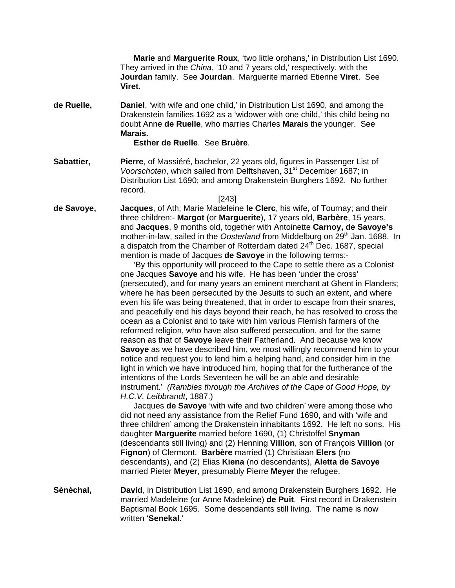**Marie** and **Marguerite Roux**, 'two little orphans,' in Distribution List 1690. They arrived in the *China*, '10 and 7 years old,' respectively, with the **Jourdan** family. See **Jourdan**. Marguerite married Etienne **Viret**. See **Viret**.

**de Ruelle, Daniel**, 'with wife and one child,' in Distribution List 1690, and among the Drakenstein families 1692 as a 'widower with one child,' this child being no doubt Anne **de Ruelle**, who marries Charles **Marais** the younger. See **Marais.** 

 **Esther de Ruelle**. See **Bruère**.

- **Sabattier, Pierre**, of Massiéré, bachelor, 22 years old, figures in Passenger List of *Voorschoten*, which sailed from Delftshaven, 31<sup>st</sup> December 1687; in Distribution List 1690; and among Drakenstein Burghers 1692. No further record.
- [243] **de Savoye, Jacques**, of Ath; Marie Madeleine **le Clerc**, his wife, of Tournay; and their three children:- **Margot** (or **Marguerite**), 17 years old, **Barbère**, 15 years, and **Jacques**, 9 months old, together with Antoinette **Carnoy, de Savoye's**  mother-in-law, sailed in the *Oosterland* from Middelburg on 29<sup>th</sup> Jan. 1688. In a dispatch from the Chamber of Rotterdam dated  $24<sup>th</sup>$  Dec. 1687, special mention is made of Jacques **de Savoye** in the following terms:-

 'By this opportunity will proceed to the Cape to settle there as a Colonist one Jacques **Savoye** and his wife. He has been 'under the cross' (persecuted), and for many years an eminent merchant at Ghent in Flanders; where he has been persecuted by the Jesuits to such an extent, and where even his life was being threatened, that in order to escape from their snares, and peacefully end his days beyond their reach, he has resolved to cross the ocean as a Colonist and to take with him various Flemish farmers of the reformed religion, who have also suffered persecution, and for the same reason as that of **Savoye** leave their Fatherland. And because we know **Savoye** as we have described him, we most willingly recommend him to your notice and request you to lend him a helping hand, and consider him in the light in which we have introduced him, hoping that for the furtherance of the intentions of the Lords Seventeen he will be an able and desirable instrument.' *(Rambles through the Archives of the Cape of Good Hope, by H.C.V. Leibbrandt*, 1887.)

 Jacques **de Savoye** 'with wife and two children' were among those who did not need any assistance from the Relief Fund 1690, and with 'wife and three children' among the Drakenstein inhabitants 1692. He left no sons. His daughter **Marguerite** married before 1690, (1) Christoffel **Snyman** (descendants still living) and (2) Henning **Villion**, son of François **Villion** (or **Fignon**) of Clermont. **Barbère** married (1) Christiaan **Elers** (no descendants), and (2) Elias **Kiena** (no descendants), **Aletta de Savoye** married Pieter **Meyer**, presumably Pierre **Meyer** the refugee.

**Sènèchal, David**, in Distribution List 1690, and among Drakenstein Burghers 1692. He married Madeleine (or Anne Madeleine) **de Puit**. First record in Drakenstein Baptismal Book 1695. Some descendants still living. The name is now written '**Senekal**.'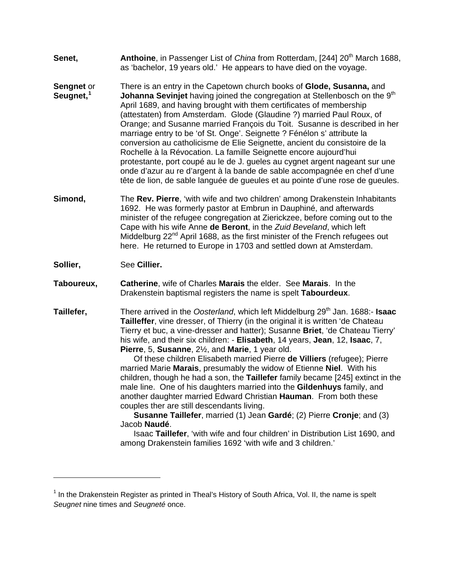- **Senet, Anthoine**, in Passenger List of *China* from Rotterdam, [244] 20<sup>th</sup> March 1688, as 'bachelor, 19 years old.' He appears to have died on the voyage.
- **Sengnet** or There is an entry in the Capetown church books of **Glode, Susanna,** and **Seugnet,[1](#page-29-0) Johanna Sevinjet** having joined the congregation at Stellenbosch on the 9<sup>th</sup> April 1689, and having brought with them certificates of membership (attestaten) from Amsterdam. Glode (Glaudine ?) married Paul Roux, of Orange; and Susanne married François du Toit. Susanne is described in her marriage entry to be 'of St. Onge'. Seignette ? Fénélon s' attribute la conversion au catholicisme de Elie Seignette, ancient du consistoire de la Rochelle à la Révocation. La famille Seignette encore aujourd'hui protestante, port coupé au le de J. gueles au cygnet argent nageant sur une onde d'azur au re d'argent à la bande de sable accompagnée en chef d'une tête de lion, de sable languée de gueules et au pointe d'une rose de gueules.
- **Simond,** The **Rev. Pierre**, 'with wife and two children' among Drakenstein Inhabitants 1692. He was formerly pastor at Embrun in Dauphiné, and afterwards minister of the refugee congregation at Zierickzee, before coming out to the Cape with his wife Anne **de Beront**, in the *Zuid Beveland*, which left Middelburg 22<sup>nd</sup> April 1688, as the first minister of the French refugees out here. He returned to Europe in 1703 and settled down at Amsterdam.
- **Sollier,** See **Cillier.**

 $\overline{a}$ 

- **Taboureux, Catherine**, wife of Charles **Marais** the elder. See **Marais**. In the Drakenstein baptismal registers the name is spelt **Tabourdeux**.
- **Taillefer,** There arrived in the *Oosterland*, which left Middelburg 29th Jan. 1688:- **Isaac Tailleffer**, vine dresser, of Thierry (in the original it is written 'de Chateau Tierry et buc, a vine-dresser and hatter); Susanne **Briet**, 'de Chateau Tierry' his wife, and their six children: - **Elisabeth**, 14 years, **Jean**, 12, **Isaac**, 7, **Pierre**, 5, **Susanne**, 2½, and **Marie**, 1 year old.

 Of these children Elisabeth married Pierre **de Villiers** (refugee); Pierre married Marie **Marais**, presumably the widow of Etienne **Niel**. With his children, though he had a son, the **Taillefer** family became [245] extinct in the male line. One of his daughters married into the **Gildenhuys** family, and another daughter married Edward Christian **Hauman**. From both these couples ther are still descendants living.

 **Susanne Taillefer**, married (1) Jean **Gardé**; (2) Pierre **Cronje**; and (3) Jacob **Naudé**.

Isaac **Taillefer**, 'with wife and four children' in Distribution List 1690, and among Drakenstein families 1692 'with wife and 3 children.'

<span id="page-29-0"></span><sup>&</sup>lt;sup>1</sup> In the Drakenstein Register as printed in Theal's History of South Africa, Vol. II, the name is spelt *Seugnet* nine times and *Seugneté* once.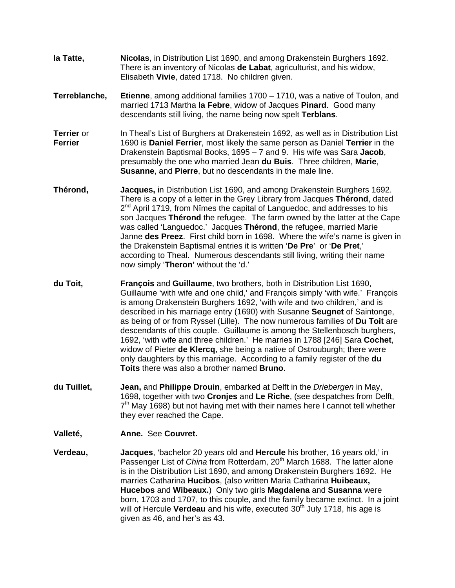- **la Tatte, Nicolas**, in Distribution List 1690, and among Drakenstein Burghers 1692. There is an inventory of Nicolas **de Labat**, agriculturist, and his widow, Elisabeth **Vivie**, dated 1718. No children given.
- **Terreblanche, Etienne**, among additional families 1700 1710, was a native of Toulon, and married 1713 Martha **la Febre**, widow of Jacques **Pinard**. Good many descendants still living, the name being now spelt **Terblans**.
- **Terrier** or In Theal's List of Burghers at Drakenstein 1692, as well as in Distribution List **Ferrier** 1690 is **Daniel Ferrier**, most likely the same person as Daniel **Terrier** in the Drakenstein Baptismal Books, 1695 – 7 and 9. His wife was Sara **Jacob**, presumably the one who married Jean **du Buis**. Three children, **Marie**, **Susanne**, and **Pierre**, but no descendants in the male line.
- **Thérond, Jacques,** in Distribution List 1690, and among Drakenstein Burghers 1692. There is a copy of a letter in the Grey Library from Jacques **Thérond**, dated  $2<sup>nd</sup>$  April 1719, from Nîmes the capital of Languedoc, and addresses to his son Jacques **Thérond** the refugee. The farm owned by the latter at the Cape was called 'Languedoc.' Jacques **Thérond**, the refugee, married Marie Janne **des Preez**. First child born in 1698. Where the wife's name is given in the Drakenstein Baptismal entries it is written '**De Pre**' or '**De Pret**,' according to Theal. Numerous descendants still living, writing their name now simply '**Theron'** without the 'd.'
- **du Toit, François** and **Guillaume**, two brothers, both in Distribution List 1690, Guillaume 'with wife and one child,' and François simply 'with wife.' François is among Drakenstein Burghers 1692, 'with wife and two children,' and is described in his marriage entry (1690) with Susanne **Seugnet** of Saintonge, as being of or from Ryssel (Lille). The now numerous families of **Du Toit** are descendants of this couple. Guillaume is among the Stellenbosch burghers, 1692, 'with wife and three children.' He marries in 1788 [246] Sara **Cochet**, widow of Pieter **de Klercq**, she being a native of Ostrouburgh; there were only daughters by this marriage. According to a family register of the **du Toits** there was also a brother named **Bruno**.
- **du Tuillet, Jean,** and **Philippe Drouin**, embarked at Delft in the *Driebergen* in May, 1698, together with two **Cronjes** and **Le Riche**, (see despatches from Delft,  $7<sup>th</sup>$  May 1698) but not having met with their names here I cannot tell whether they ever reached the Cape.
- **Valleté, Anne.** See **Couvret.**
- **Verdeau, Jacques**, 'bachelor 20 years old and **Hercule** his brother, 16 years old,' in Passenger List of *China* from Rotterdam, 20<sup>th</sup> March 1688. The latter alone is in the Distribution List 1690, and among Drakenstein Burghers 1692. He marries Catharina **Hucibos**, (also written Maria Catharina **Huibeaux, Hucebos** and **Wibeaux.**) Only two girls **Magdalena** and **Susanna** were born, 1703 and 1707, to this couple, and the family became extinct. In a joint will of Hercule **Verdeau** and his wife, executed 30<sup>th</sup> July 1718, his age is given as 46, and her's as 43.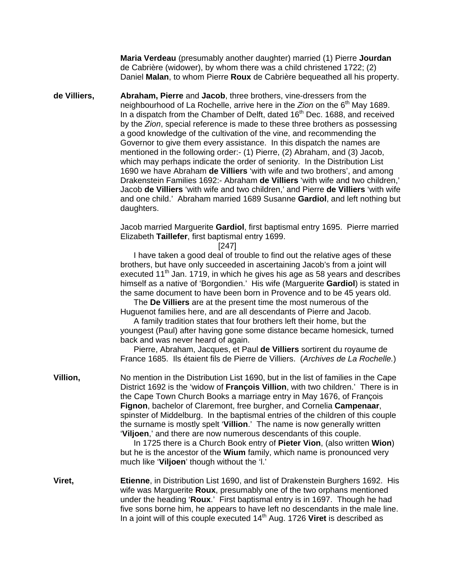**Maria Verdeau** (presumably another daughter) married (1) Pierre **Jourdan**  de Cabrière (widower), by whom there was a child christened 1722; (2) Daniel **Malan**, to whom Pierre **Roux** de Cabrière bequeathed all his property.

**de Villiers, Abraham, Pierre** and **Jacob**, three brothers, vine-dressers from the neighbourhood of La Rochelle, arrive here in the *Zion* on the 6<sup>th</sup> May 1689. In a dispatch from the Chamber of Delft, dated 16<sup>th</sup> Dec. 1688, and received by the *Zion*, special reference is made to these three brothers as possessing a good knowledge of the cultivation of the vine, and recommending the Governor to give them every assistance. In this dispatch the names are mentioned in the following order:- (1) Pierre, (2) Abraham, and (3) Jacob, which may perhaps indicate the order of seniority. In the Distribution List 1690 we have Abraham **de Villiers** 'with wife and two brothers', and among Drakenstein Families 1692:- Abraham **de Villiers** 'with wife and two children,' Jacob **de Villiers** 'with wife and two children,' and Pierre **de Villiers** 'with wife and one child.' Abraham married 1689 Susanne **Gardiol**, and left nothing but daughters.

> Jacob married Marguerite **Gardiol**, first baptismal entry 1695. Pierre married Elizabeth **Taillefer**, first baptismal entry 1699.

> > [247]

 I have taken a good deal of trouble to find out the relative ages of these brothers, but have only succeeded in ascertaining Jacob's from a joint will executed 11<sup>th</sup> Jan. 1719, in which he gives his age as 58 years and describes himself as a native of 'Borgondien.' His wife (Marguerite **Gardiol**) is stated in the same document to have been born in Provence and to be 45 years old.

 The **De Villiers** are at the present time the most numerous of the Huguenot families here, and are all descendants of Pierre and Jacob.

 A family tradition states that four brothers left their home, but the youngest (Paul) after having gone some distance became homesick, turned back and was never heard of again.

 Pierre, Abraham, Jacques, et Paul **de Villiers** sortirent du royaume de France 1685. Ils étaient fils de Pierre de Villiers. (*Archives de La Rochelle.*)

**Villion,** No mention in the Distribution List 1690, but in the list of families in the Cape District 1692 is the 'widow of **François Villion**, with two children.' There is in the Cape Town Church Books a marriage entry in May 1676, of François **Fignon**, bachelor of Claremont, free burgher, and Cornelia **Campenaar**, spinster of Middelburg. In the baptismal entries of the children of this couple the surname is mostly spelt '**Villion**.' The name is now generally written '**Viljoen**,' and there are now numerous descendants of this couple.

> In 1725 there is a Church Book entry of **Pieter Vion**, (also written **Wion**) but he is the ancestor of the **Wium** family, which name is pronounced very much like '**Viljoen**' though without the 'l.'

**Viret, Etienne**, in Distribution List 1690, and list of Drakenstein Burghers 1692. His wife was Marguerite **Roux**, presumably one of the two orphans mentioned under the heading '**Roux**.' First baptismal entry is in 1697. Though he had five sons borne him, he appears to have left no descendants in the male line. In a joint will of this couple executed 14th Aug. 1726 **Viret** is described as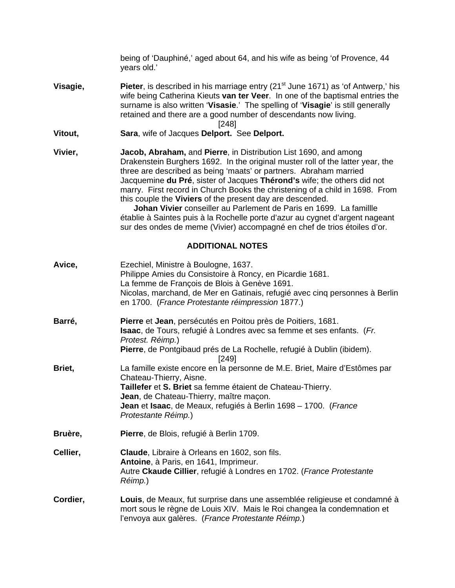being of 'Dauphiné,' aged about 64, and his wife as being 'of Provence, 44 years old.'

**Visagie, Pieter**, is described in his marriage entry (21<sup>st</sup> June 1671) as 'of Antwerp,' his wife being Catherina Kieuts **van ter Veer**. In one of the baptismal entries the surname is also written '**Visasie**.' The spelling of '**Visagie**' is still generally retained and there are a good number of descendants now living.

[248]

- **Vitout, Sara**, wife of Jacques **Delport.** See **Delport.**
- **Vivier, Jacob, Abraham,** and **Pierre**, in Distribution List 1690, and among Drakenstein Burghers 1692. In the original muster roll of the latter year, the three are described as being 'maats' or partners. Abraham married Jacquemine **du Pré**, sister of Jacques **Thérond's** wife; the others did not marry. First record in Church Books the christening of a child in 1698. From this couple the **Viviers** of the present day are descended.

 **Johan Vivier** conseiller au Parlement de Paris en 1699. La famillle établie à Saintes puis à la Rochelle porte d'azur au cygnet d'argent nageant sur des ondes de meme (Vivier) accompagné en chef de trios étoiles d'or.

#### **ADDITIONAL NOTES**

| Avice,   | Ezechiel, Ministre à Boulogne, 1637.<br>Philippe Amies du Consistoire à Roncy, en Picardie 1681.<br>La femme de François de Blois à Genève 1691.<br>Nicolas, marchand, de Mer en Gatinais, refugié avec cinq personnes à Berlin<br>en 1700. (France Protestante réimpression 1877.)                      |
|----------|----------------------------------------------------------------------------------------------------------------------------------------------------------------------------------------------------------------------------------------------------------------------------------------------------------|
| Barré,   | Pierre et Jean, persécutés en Poitou près de Poitiers, 1681.<br>Isaac, de Tours, refugié à Londres avec sa femme et ses enfants. (Fr.<br>Protest. Réimp.)<br>Pierre, de Pontgibaud prés de La Rochelle, refugié à Dublin (ibidem).<br>[249]                                                              |
| Briet,   | La famille existe encore en la personne de M.E. Briet, Maire d'Estômes par<br>Chateau-Thierry, Aisne.<br>Taillefer et S. Briet sa femme étaient de Chateau-Thierry.<br>Jean, de Chateau-Thierry, maître maçon.<br>Jean et Isaac, de Meaux, refugiés à Berlin 1698 – 1700. (France<br>Protestante Réimp.) |
| Bruère,  | Pierre, de Blois, refugié à Berlin 1709.                                                                                                                                                                                                                                                                 |
| Cellier, | Claude, Libraire à Orleans en 1602, son fils.<br>Antoine, à Paris, en 1641, Imprimeur.<br>Autre Ckaude Cillier, refugié à Londres en 1702. (France Protestante<br>Réimp.)                                                                                                                                |
| Cordier, | Louis, de Meaux, fut surprise dans une assemblée religieuse et condamné à<br>mort sous le règne de Louis XIV. Mais le Roi changea la condemnation et<br>l'envoya aux galères. (France Protestante Réimp.)                                                                                                |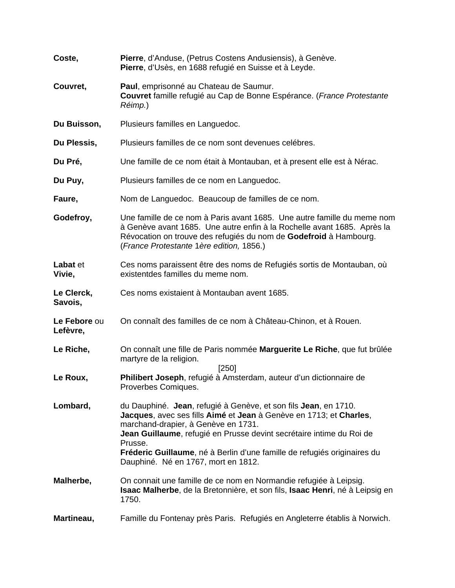| Coste,                   | Pierre, d'Anduse, (Petrus Costens Andusiensis), à Genève.<br>Pierre, d'Usès, en 1688 refugié en Suisse et à Leyde.                                                                                                                                                                                                                                                                 |
|--------------------------|------------------------------------------------------------------------------------------------------------------------------------------------------------------------------------------------------------------------------------------------------------------------------------------------------------------------------------------------------------------------------------|
| Couvret,                 | Paul, emprisonné au Chateau de Saumur.<br>Couvret famille refugié au Cap de Bonne Espérance. (France Protestante<br>Réimp.)                                                                                                                                                                                                                                                        |
| Du Buisson,              | Plusieurs familles en Languedoc.                                                                                                                                                                                                                                                                                                                                                   |
| Du Plessis,              | Plusieurs familles de ce nom sont devenues celébres.                                                                                                                                                                                                                                                                                                                               |
| Du Pré,                  | Une famille de ce nom était à Montauban, et à present elle est à Nérac.                                                                                                                                                                                                                                                                                                            |
| Du Puy,                  | Plusieurs familles de ce nom en Languedoc.                                                                                                                                                                                                                                                                                                                                         |
| Faure,                   | Nom de Languedoc. Beaucoup de familles de ce nom.                                                                                                                                                                                                                                                                                                                                  |
| Godefroy,                | Une famille de ce nom à Paris avant 1685. Une autre famille du meme nom<br>à Genève avant 1685. Une autre enfin à la Rochelle avant 1685. Après la<br>Révocation on trouve des refugiés du nom de Godefroid à Hambourg.<br>(France Protestante 1 ère edition, 1856.)                                                                                                               |
| Labat et<br>Vivie,       | Ces noms paraissent être des noms de Refugiés sortis de Montauban, où<br>existentdes familles du meme nom.                                                                                                                                                                                                                                                                         |
| Le Clerck,<br>Savois,    | Ces noms existaient à Montauban avent 1685.                                                                                                                                                                                                                                                                                                                                        |
| Le Febore ou<br>Lefèvre, | On connaît des familles de ce nom à Château-Chinon, et à Rouen.                                                                                                                                                                                                                                                                                                                    |
| Le Riche,                | On connaît une fille de Paris nommée Marguerite Le Riche, que fut brûlée<br>martyre de la religion.                                                                                                                                                                                                                                                                                |
| Le Roux,                 | [250]<br>Philibert Joseph, refugié à Amsterdam, auteur d'un dictionnaire de<br>Proverbes Comiques.                                                                                                                                                                                                                                                                                 |
| Lombard,                 | du Dauphiné. Jean, refugié à Genève, et son fils Jean, en 1710.<br>Jacques, avec ses fills Aimé et Jean à Genève en 1713; et Charles,<br>marchand-drapier, à Genève en 1731.<br>Jean Guillaume, refugié en Prusse devint secrétaire intime du Roi de<br>Prusse.<br>Fréderic Guillaume, né à Berlin d'une famille de refugiés originaires du<br>Dauphiné. Né en 1767, mort en 1812. |
| Malherbe,                | On connait une famille de ce nom en Normandie refugiée à Leipsig.<br>Isaac Malherbe, de la Bretonnière, et son fils, Isaac Henri, né à Leipsig en<br>1750.                                                                                                                                                                                                                         |
| Martineau,               | Famille du Fontenay près Paris. Refugiés en Angleterre établis à Norwich.                                                                                                                                                                                                                                                                                                          |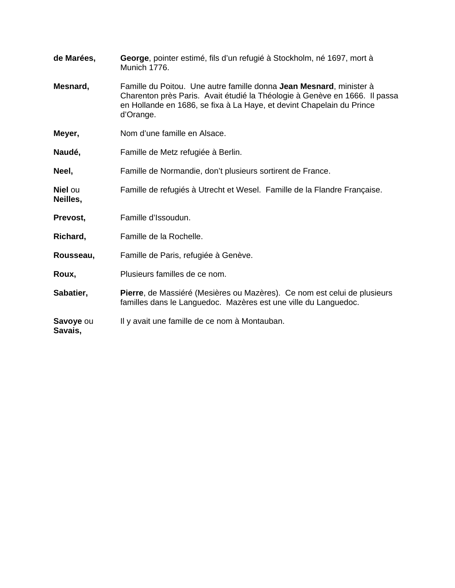| de Marées,                 | George, pointer estimé, fils d'un refugié à Stockholm, né 1697, mort à<br>Munich 1776.                                                                                                                                                  |
|----------------------------|-----------------------------------------------------------------------------------------------------------------------------------------------------------------------------------------------------------------------------------------|
| Mesnard,                   | Famille du Poitou. Une autre famille donna Jean Mesnard, minister à<br>Charenton près Paris. Avait étudié la Théologie à Genève en 1666. Il passa<br>en Hollande en 1686, se fixa à La Haye, et devint Chapelain du Prince<br>d'Orange. |
| Meyer,                     | Nom d'une famille en Alsace.                                                                                                                                                                                                            |
| Naudé,                     | Famille de Metz refugiée à Berlin.                                                                                                                                                                                                      |
| Neel,                      | Famille de Normandie, don't plusieurs sortirent de France.                                                                                                                                                                              |
| <b>Niel</b> ou<br>Neilles, | Famille de refugiés à Utrecht et Wesel. Famille de la Flandre Française.                                                                                                                                                                |
| Prevost,                   | Famille d'Issoudun.                                                                                                                                                                                                                     |
| Richard,                   | Famille de la Rochelle.                                                                                                                                                                                                                 |
| Rousseau,                  | Famille de Paris, refugiée à Genève.                                                                                                                                                                                                    |
| Roux,                      | Plusieurs familles de ce nom.                                                                                                                                                                                                           |
| Sabatier,                  | Pierre, de Massiéré (Mesières ou Mazères). Ce nom est celui de plusieurs<br>familles dans le Languedoc. Mazères est une ville du Languedoc.                                                                                             |
| Savoye ou<br>Savais,       | Il y avait une famille de ce nom à Montauban.                                                                                                                                                                                           |